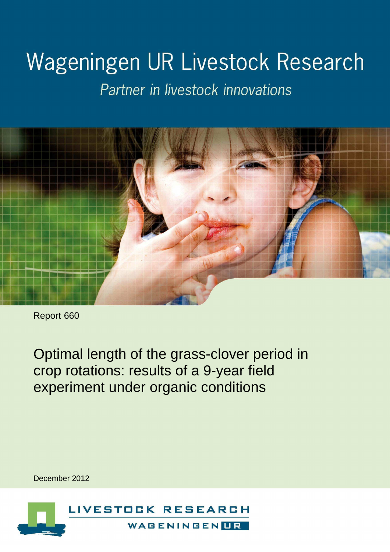# Wageningen UR Livestock Research

Partner in livestock innovations



Report 660

Optimal length of the grass-clover period in crop rotations: results of a 9-year field experiment under organic conditions

December 2012

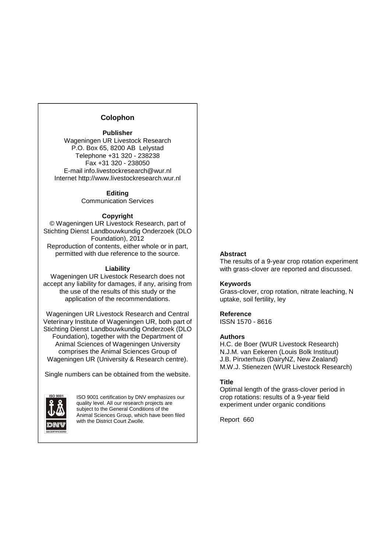#### **Colophon**

#### **Publisher**

Wageningen UR Livestock Research P.O. Box 65, 8200 AB Lelystad Telephone +31 320 - 238238 Fax +31 320 - 238050 E-mail info.livestockresearch@wur.nl Internet http://www.livestockresearch.wur.nl

#### **Editing**

Communication Services

#### **Copyright**

© Wageningen UR Livestock Research, part of Stichting Dienst Landbouwkundig Onderzoek (DLO Foundation), 2012 Reproduction of contents, either whole or in part, permitted with due reference to the source.

#### **Liability**

Wageningen UR Livestock Research does not accept any liability for damages, if any, arising from the use of the results of this study or the application of the recommendations.

Wageningen UR Livestock Research and Central Veterinary Institute of Wageningen UR, both part of Stichting Dienst Landbouwkundig Onderzoek (DLO Foundation), together with the Department of Animal Sciences of Wageningen University comprises the Animal Sciences Group of Wageningen UR (University & Research centre).

Single numbers can be obtained from the website.



ISO 9001 certification by DNV emphasizes our quality level. All our research projects are subject to the General Conditions of the Animal Sciences Group, which have been filed with the District Court Zwolle.

#### **Abstract**

The results of a 9-year crop rotation experiment with grass-clover are reported and discussed.

#### **Keywords**

Grass-clover, crop rotation, nitrate leaching, N uptake, soil fertility, ley

#### **Reference**

ISSN 1570 - 8616

#### **Authors**

H.C. de Boer (WUR Livestock Research) N.J.M. van Eekeren (Louis Bolk Instituut) J.B. Pinxterhuis (DairyNZ, New Zealand) M.W.J. Stienezen (WUR Livestock Research)

#### **Title**

Optimal length of the grass-clover period in crop rotations: results of a 9-year field experiment under organic conditions

Report 660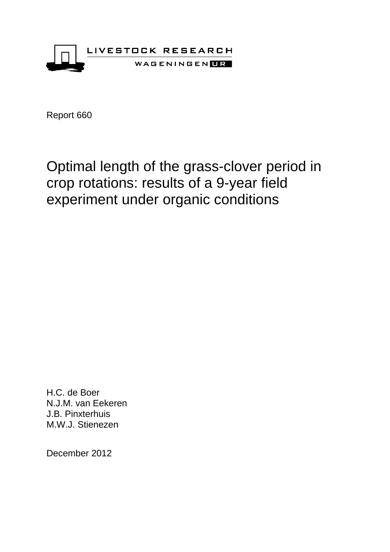

# Optimal length of the grass-clover period in crop rotations: results of a 9-year field experiment under organic conditions

H.C. de Boer N.J.M. van Eekeren J.B. Pinxterhuis M.W.J. Stienezen

December 2012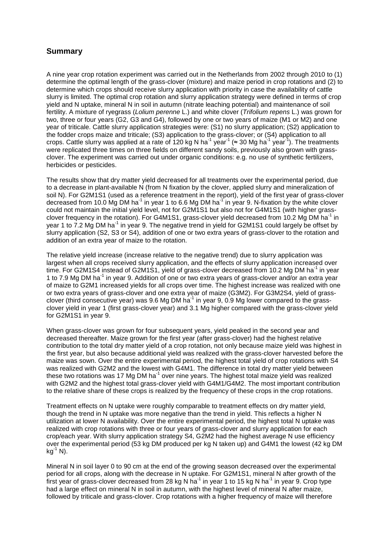## **Summary**

A nine year crop rotation experiment was carried out in the Netherlands from 2002 through 2010 to (1) determine the optimal length of the grass-clover (mixture) and maize period in crop rotations and (2) to determine which crops should receive slurry application with priority in case the availability of cattle slurry is limited. The optimal crop rotation and slurry application strategy were defined in terms of crop yield and N uptake, mineral N in soil in autumn (nitrate leaching potential) and maintenance of soil fertility. A mixture of ryegrass (Lolium perenne L.) and white clover (Trifolium repens L.) was grown for two, three or four years (G2, G3 and G4), followed by one or two years of maize (M1 or M2) and one year of triticale. Cattle slurry application strategies were: (S1) no slurry application; (S2) application to the fodder crops maize and triticale; (S3) application to the grass-clover; or (S4) application to all crops. Cattle slurry was applied at a rate of 120 kg N ha<sup>-1</sup> year<sup>-1</sup> (≈ 30 Mg ha<sup>-1</sup> year<sup>-1</sup>). The treatments were replicated three times on three fields on different sandy soils, previously also grown with grassclover. The experiment was carried out under organic conditions: e.g. no use of synthetic fertilizers, herbicides or pesticides.

The results show that dry matter yield decreased for all treatments over the experimental period, due to a decrease in plant-available N (from N fixation by the clover, applied slurry and mineralization of soil N). For G2M1S1 (used as a reference treatment in the report), yield of the first year of grass-clover decreased from 10.0 Mg DM ha<sup>-1</sup> in year 1 to 6.6 Mg DM ha<sup>-1</sup> in year 9. N-fixation by the white clover could not maintain the initial yield level, not for G2M1S1 but also not for G4M1S1 (with higher grassclover frequency in the rotation). For G4M1S1, grass-clover yield decreased from 10.2 Mg DM ha<sup>-1</sup> in year 1 to 7.2 Mg DM ha<sup>-1</sup> in year 9. The negative trend in yield for G2M1S1 could largely be offset by slurry application (S2, S3 or S4), addition of one or two extra years of grass-clover to the rotation and addition of an extra year of maize to the rotation.

The relative yield increase (increase relative to the negative trend) due to slurry application was largest when all crops received slurry application, and the effects of slurry application increased over time. For G2M1S4 instead of G2M1S1, yield of grass-clover decreased from 10.2 Mg DM ha<sup>-1</sup> in year 1 to 7.9 Mg DM ha<sup>-1</sup> in year 9. Addition of one or two extra years of grass-clover and/or an extra year of maize to G2M1 increased yields for all crops over time. The highest increase was realized with one or two extra years of grass-clover and one extra year of maize (G3M2). For G3M2S4, yield of grassclover (third consecutive year) was 9.6 Mg DM ha $^1$  in year 9, 0.9 Mg lower compared to the grassclover yield in year 1 (first grass-clover year) and 3.1 Mg higher compared with the grass-clover yield for G2M1S1 in year 9.

When grass-clover was grown for four subsequent years, yield peaked in the second year and decreased thereafter. Maize grown for the first year (after grass-clover) had the highest relative contribution to the total dry matter yield of a crop rotation, not only because maize yield was highest in the first year, but also because additional yield was realized with the grass-clover harvested before the maize was sown. Over the entire experimental period, the highest total yield of crop rotations with S4 was realized with G2M2 and the lowest with G4M1. The difference in total dry matter yield between these two rotations was 17 Mg DM ha $^{-1}$  over nine years. The highest total maize yield was realized with G2M2 and the highest total grass-clover yield with G4M1/G4M2. The most important contribution to the relative share of these crops is realized by the frequency of these crops in the crop rotations.

Treatment effects on N uptake were roughly comparable to treatment effects on dry matter yield, though the trend in N uptake was more negative than the trend in yield. This reflects a higher N utilization at lower N availability. Over the entire experimental period, the highest total N uptake was realized with crop rotations with three or four years of grass-clover and slurry application for each crop/each year. With slurry application strategy S4, G2M2 had the highest average N use efficiency over the experimental period (53 kg DM produced per kg N taken up) and G4M1 the lowest (42 kg DM  $kq^{-1}$  N).

Mineral N in soil layer 0 to 90 cm at the end of the growing season decreased over the experimental period for all crops, along with the decrease in N uptake. For G2M1S1, mineral N after growth of the  $^{\mathsf{f}}$ irst year of grass-clover decreased from 28 kg N ha $^{\mathsf{1}}$  in year 1 to 15 kg N ha $^{\mathsf{1}}$  in year 9. Crop type had a large effect on mineral N in soil in autumn, with the highest level of mineral N after maize, followed by triticale and grass-clover. Crop rotations with a higher frequency of maize will therefore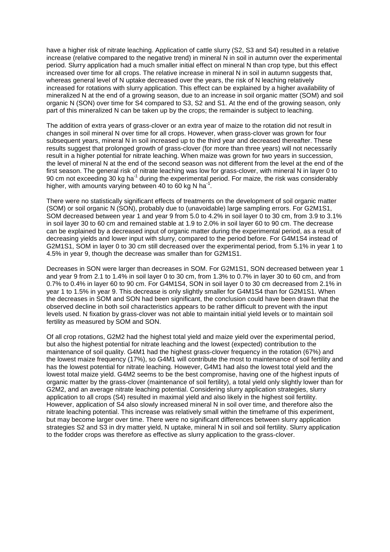have a higher risk of nitrate leaching. Application of cattle slurry (S2, S3 and S4) resulted in a relative increase (relative compared to the negative trend) in mineral N in soil in autumn over the experimental period. Slurry application had a much smaller initial effect on mineral N than crop type, but this effect increased over time for all crops. The relative increase in mineral N in soil in autumn suggests that, whereas general level of N uptake decreased over the years, the risk of N leaching relatively increased for rotations with slurry application. This effect can be explained by a higher availability of mineralized N at the end of a growing season, due to an increase in soil organic matter (SOM) and soil organic N (SON) over time for S4 compared to S3, S2 and S1. At the end of the growing season, only part of this mineralized N can be taken up by the crops; the remainder is subject to leaching.

The addition of extra years of grass-clover or an extra year of maize to the rotation did not result in changes in soil mineral N over time for all crops. However, when grass-clover was grown for four subsequent years, mineral N in soil increased up to the third year and decreased thereafter. These results suggest that prolonged growth of grass-clover (for more than three years) will not necessarily result in a higher potential for nitrate leaching. When maize was grown for two years in succession, the level of mineral N at the end of the second season was not different from the level at the end of the first season. The general risk of nitrate leaching was low for grass-clover, with mineral N in layer 0 to 90 cm not exceeding 30 kg ha<sup>-1</sup> during the experimental period. For maize, the risk was considerably higher, with amounts varying between 40 to 60 kg N ha<sup>-1</sup>.

There were no statistically significant effects of treatments on the development of soil organic matter (SOM) or soil organic N (SON), probably due to (unavoidable) large sampling errors. For G2M1S1, SOM decreased between year 1 and year 9 from 5.0 to 4.2% in soil layer 0 to 30 cm, from 3.9 to 3.1% in soil layer 30 to 60 cm and remained stable at 1.9 to 2.0% in soil layer 60 to 90 cm. The decrease can be explained by a decreased input of organic matter during the experimental period, as a result of decreasing yields and lower input with slurry, compared to the period before. For G4M1S4 instead of G2M1S1, SOM in layer 0 to 30 cm still decreased over the experimental period, from 5.1% in year 1 to 4.5% in year 9, though the decrease was smaller than for G2M1S1.

Decreases in SON were larger than decreases in SOM. For G2M1S1, SON decreased between year 1 and year 9 from 2.1 to 1.4% in soil layer 0 to 30 cm, from 1.3% to 0.7% in layer 30 to 60 cm, and from 0.7% to 0.4% in layer 60 to 90 cm. For G4M1S4, SON in soil layer 0 to 30 cm decreased from 2.1% in year 1 to 1.5% in year 9. This decrease is only slightly smaller for G4M1S4 than for G2M1S1. When the decreases in SOM and SON had been significant, the conclusion could have been drawn that the observed decline in both soil characteristics appears to be rather difficult to prevent with the input levels used. N fixation by grass-clover was not able to maintain initial yield levels or to maintain soil fertility as measured by SOM and SON.

Of all crop rotations, G2M2 had the highest total yield and maize yield over the experimental period, but also the highest potential for nitrate leaching and the lowest (expected) contribution to the maintenance of soil quality. G4M1 had the highest grass-clover frequency in the rotation (67%) and the lowest maize frequency (17%), so G4M1 will contribute the most to maintenance of soil fertility and has the lowest potential for nitrate leaching. However, G4M1 had also the lowest total yield and the lowest total maize yield. G4M2 seems to be the best compromise, having one of the highest inputs of organic matter by the grass-clover (maintenance of soil fertility), a total yield only slightly lower than for G2M2, and an average nitrate leaching potential. Considering slurry application strategies, slurry application to all crops (S4) resulted in maximal yield and also likely in the highest soil fertility. However, application of S4 also slowly increased mineral N in soil over time, and therefore also the nitrate leaching potential. This increase was relatively small within the timeframe of this experiment, but may become larger over time. There were no significant differences between slurry application strategies S2 and S3 in dry matter yield, N uptake, mineral N in soil and soil fertility. Slurry application to the fodder crops was therefore as effective as slurry application to the grass-clover.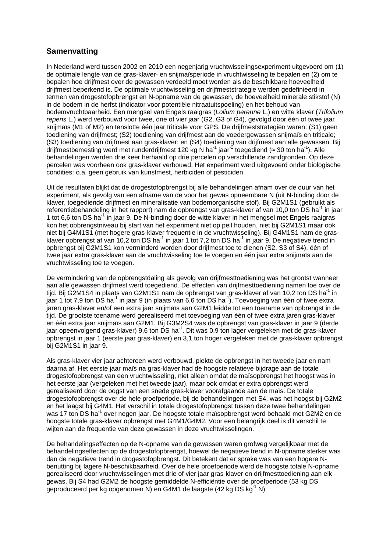# **Samenvatting**

In Nederland werd tussen 2002 en 2010 een negenjarig vruchtwisselingsexperiment uitgevoerd om (1) de optimale lengte van de gras-klaver- en snijmaïsperiode in vruchtwisseling te bepalen en (2) om te bepalen hoe drijfmest over de gewassen verdeeld moet worden als de beschikbare hoeveelheid drijfmest beperkend is. De optimale vruchtwisseling en drijfmeststrategie werden gedefinieerd in termen van drogestofopbrengst en N-opname van de gewassen, de hoeveelheid minerale stikstof (N) in de bodem in de herfst (indicator voor potentiële nitraatuitspoeling) en het behoud van bodemvruchtbaarheid. Een mengsel van Engels raaigras (Lolium perenne L.) en witte klaver (Trifolium repens L.) werd verbouwd voor twee, drie of vier jaar (G2, G3 of G4), gevolgd door één of twee jaar snijmaïs (M1 of M2) en tenslotte één jaar triticale voor GPS. De drijfmeststrategiën waren: (S1) geen toediening van drijfmest; (S2) toediening van drijfmest aan de voedergewassen snijmaïs en triticale; (S3) toediening van drijfmest aan gras-klaver; en (S4) toediening van drijfmest aan alle gewassen. Bij drijfmestbemesting werd met runderdrijfmest 120 kg N ha<sup>-1</sup> jaar<sup>-1</sup> toegediend (≈ 30 ton ha<sup>-1</sup>). Alle behandelingen werden drie keer herhaald op drie percelen op verschillende zandgronden. Op deze percelen was voorheen ook gras-klaver verbouwd. Het experiment werd uitgevoerd onder biologische condities: o.a. geen gebruik van kunstmest, herbiciden of pesticiden.

Uit de resultaten blijkt dat de drogestofopbrengst bij alle behandelingen afnam over de duur van het experiment, als gevolg van een afname van de voor het gewas opneembare N (uit N-binding door de klaver, toegediende drijfmest en mineralisatie van bodemorganische stof). Bij G2M1S1 (gebruikt als referentiebehandeling in het rapport) nam de opbrengst van gras-klaver af van 10,0 ton DS ha<sup>-1</sup> in jaar 1 tot 6,6 ton DS ha-1 in jaar 9. De N-binding door de witte klaver in het mengsel met Engels raaigras kon het opbrengstniveau bij start van het experiment niet op peil houden, niet bij G2M1S1 maar ook niet bij G4M1S1 (met hogere gras-klaver frequentie in de vruchtwisseling). Bij G4M1S1 nam de grasklaver opbrengst af van 10,2 ton DS ha<sup>-1</sup> in jaar 1 tot 7,2 ton DS ha<sup>-1</sup> in jaar 9. De negatieve trend in opbrengst bij G2M1S1 kon verminderd worden door drijfmest toe te dienen (S2, S3 of S4), één of twee jaar extra gras-klaver aan de vruchtwisseling toe te voegen en één jaar extra snijmaïs aan de vruchtwisseling toe te voegen.

De vermindering van de opbrengstdaling als gevolg van drijfmesttoediening was het grootst wanneer aan alle gewassen drijfmest werd toegediend. De effecten van drijfmesttoediening namen toe over de tijd. Bij G2M1S4 in plaats van G2M1S1 nam de opbrengst van gras-klaver af van 10,2 ton DS ha<sup>-1</sup> in jaar 1 tot 7,9 ton DS ha<sup>-1</sup> in jaar 9 (in plaats van 6,6 ton DS ha<sup>-1</sup>). Toevoeging van één of twee extra jaren gras-klaver en/of een extra jaar snijmaïs aan G2M1 leidde tot een toename van opbrengst in de tijd. De grootste toename werd gerealiseerd met toevoeging van één of twee extra jaren gras-klaver en één extra jaar snijmaïs aan G2M1. Bij G3M2S4 was de opbrengst van gras-klaver in jaar 9 (derde jaar opeenvolgend gras-klaver) 9,6 ton DS ha<sup>1</sup>. Dit was 0,9 ton lager vergeleken met de gras-klaver opbrengst in jaar 1 (eerste jaar gras-klaver) en 3,1 ton hoger vergeleken met de gras-klaver opbrengst bij G2M1S1 in jaar 9.

Als gras-klaver vier jaar achtereen werd verbouwd, piekte de opbrengst in het tweede jaar en nam daarna af. Het eerste jaar maïs na gras-klaver had de hoogste relatieve bijdrage aan de totale drogestofopbrengst van een vruchtwisseling, niet alleen omdat de maïsopbrengst het hoogst was in het eerste jaar (vergeleken met het tweede jaar), maar ook omdat er extra opbrengst werd gerealiseerd door de oogst van een snede gras-klaver voorafgaande aan de maïs. De totale drogestofopbrengst over de hele proefperiode, bij de behandelingen met S4, was het hoogst bij G2M2 en het laagst bij G4M1. Het verschil in totale drogestofopbrengst tussen deze twee behandelingen was 17 ton DS ha<sup>-1</sup> over negen jaar. De hoogste totale maïsopbrengst werd behaald met G2M2 en de hoogste totale gras-klaver opbrengst met G4M1/G4M2. Voor een belangrijk deel is dit verschil te wijten aan de frequentie van deze gewassen in deze vruchtwisselingen.

De behandelingseffecten op de N-opname van de gewassen waren grofweg vergelijkbaar met de behandelingseffecten op de drogestofopbrengst, hoewel de negatieve trend in N-opname sterker was dan de negatieve trend in drogestofopbrengst. Dit betekent dat er sprake was van een hogere Nbenutting bij lagere N-beschikbaarheid. Over de hele proefperiode werd de hoogste totale N-opname gerealiseerd door vruchtwisselingen met drie of vier jaar gras-klaver en drijfmesttoediening aan elk gewas. Bij S4 had G2M2 de hoogste gemiddelde N-efficiëntie over de proefperiode (53 kg DS geproduceerd per kg opgenomen N) en G4M1 de laagste (42 kg DS kg-1 N).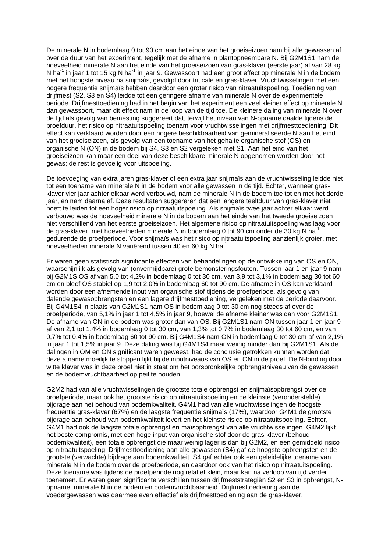De minerale N in bodemlaag 0 tot 90 cm aan het einde van het groeiseizoen nam bij alle gewassen af over de duur van het experiment, tegelijk met de afname in plantopneembare N. Bij G2M1S1 nam de hoeveelheid minerale N aan het einde van het groeiseizoen van gras-klaver (eerste jaar) af van 28 kg N ha $^{-1}$  in jaar 1 tot 15 kg N ha $^{-1}$  in jaar 9. Gewassoort had een groot effect op minerale N in de bodem, met het hoogste niveau na snijmaïs, gevolgd door triticale en gras-klaver. Vruchtwisselingen met een hogere frequentie snijmaïs hebben daardoor een groter risico van nitraatuitspoeling. Toediening van drijfmest (S2, S3 en S4) leidde tot een geringere afname van minerale N over de experimentele periode. Drijfmesttoediening had in het begin van het experiment een veel kleiner effect op minerale N dan gewassoort, maar dit effect nam in de loop van de tijd toe. De kleinere daling van minerale N over de tijd als gevolg van bemesting suggereert dat, terwijl het niveau van N-opname daalde tijdens de proefduur, het risico op nitraatuitspoeling toenam voor vruchtwisselingen met drijfmesttoediening. Dit effect kan verklaard worden door een hogere beschikbaarheid van gemineraliseerde N aan het eind van het groeiseizoen, als gevolg van een toename van het gehalte organische stof (OS) en organische N (ON) in de bodem bij S4, S3 en S2 vergeleken met S1. Aan het eind van het groeiseizoen kan maar een deel van deze beschikbare minerale N opgenomen worden door het gewas; de rest is gevoelig voor uitspoeling.

De toevoeging van extra jaren gras-klaver of een extra jaar snijmaïs aan de vruchtwisseling leidde niet tot een toename van minerale N in de bodem voor alle gewassen in de tijd. Echter, wanneer grasklaver vier jaar achter elkaar werd verbouwd, nam de minerale N in de bodem toe tot en met het derde jaar, en nam daarna af. Deze resultaten suggereren dat een langere teeltduur van gras-klaver niet hoeft te leiden tot een hoger risico op nitraatuitspoeling. Als snijmaïs twee jaar achter elkaar werd verbouwd was de hoeveelheid minerale N in de bodem aan het einde van het tweede groeiseizoen niet verschillend van het eerste groeiseizoen. Het algemene risico op nitraatuitspoeling was laag voor de gras-klaver, met hoeveelheden minerale N in bodemlaag 0 tot 90 cm onder de 30 kg N ha<sup>-1</sup> gedurende de proefperiode. Voor snijmaïs was het risico op nitraatuitspoeling aanzienlijk groter, met hoeveelheden minerale N variërend tussen 40 en 60 kg N ha<sup>-1</sup>.

Er waren geen statistisch significante effecten van behandelingen op de ontwikkeling van OS en ON, waarschijnlijk als gevolg van (onvermijdbare) grote bemonsteringsfouten. Tussen jaar 1 en jaar 9 nam bij G2M1S OS af van 5,0 tot 4,2% in bodemlaag 0 tot 30 cm, van 3,9 tot 3,1% in bodemlaag 30 tot 60 cm en bleef OS stabiel op 1,9 tot 2,0% in bodemlaag 60 tot 90 cm. De afname in OS kan verklaard worden door een afnemende input van organische stof tijdens de proefperiode, als gevolg van dalende gewasopbrengsten en een lagere drijfmesttoediening, vergeleken met de periode daarvoor. Bij G4M1S4 in plaats van G2M1S1 nam OS in bodemlaag 0 tot 30 cm nog steeds af over de proefperiode, van 5,1% in jaar 1 tot 4,5% in jaar 9, hoewel de afname kleiner was dan voor G2M1S1. De afname van ON in de bodem was groter dan van OS. Bij G2M1S1 nam ON tussen jaar 1 en jaar 9 af van 2,1 tot 1,4% in bodemlaag 0 tot 30 cm, van 1,3% tot 0,7% in bodemlaag 30 tot 60 cm, en van 0,7% tot 0,4% in bodemlaag 60 tot 90 cm. Bij G4M1S4 nam ON in bodemlaag 0 tot 30 cm af van 2,1% in jaar 1 tot 1,5% in jaar 9. Deze daling was bij G4M1S4 maar weinig minder dan bij G2M1S1. Als de dalingen in OM en ON significant waren geweest, had de conclusie getrokken kunnen worden dat deze afname moeilijk te stoppen lijkt bij de inputniveaus van OS en ON in de proef. De N-binding door witte klaver was in deze proef niet in staat om het oorspronkelijke opbrengstniveau van de gewassen en de bodemvruchtbaarheid op peil te houden.

G2M2 had van alle vruchtwisselingen de grootste totale opbrengst en snijmaïsopbrengst over de proefperiode, maar ook het grootste risico op nitraatuitspoeling en de kleinste (veronderstelde) bijdrage aan het behoud van bodemkwaliteit. G4M1 had van alle vruchtwisselingen de hoogste frequentie gras-klaver (67%) en de laagste frequentie snijmaïs (17%), waardoor G4M1 de grootste bijdrage aan behoud van bodemkwaliteit levert en het kleinste risico op nitraatuitspoeling. Echter, G4M1 had ook de laagste totale opbrengst en maïsopbrengst van alle vruchtwisselingen. G4M2 lijkt het beste compromis, met een hoge input van organische stof door de gras-klaver (behoud bodemkwaliteit), een totale opbrengst die maar weinig lager is dan bij G2M2, en een gemiddeld risico op nitraatuitspoeling. Drijfmesttoediening aan alle gewassen (S4) gaf de hoogste opbrengsten en de grootste (verwachte) bijdrage aan bodemkwaliteit. S4 gaf echter ook een geleidelijke toename van minerale N in de bodem over de proefperiode, en daardoor ook van het risico op nitraatuitspoeling. Deze toename was tijdens de proefperiode nog relatief klein, maar kan na verloop van tijd verder toenemen. Er waren geen significante verschillen tussen drijfmeststrategiën S2 en S3 in opbrengst, Nopname, minerale N in de bodem en bodemvruchtbaarheid. Drijfmesttoediening aan de voedergewassen was daarmee even effectief als drijfmesttoediening aan de gras-klaver.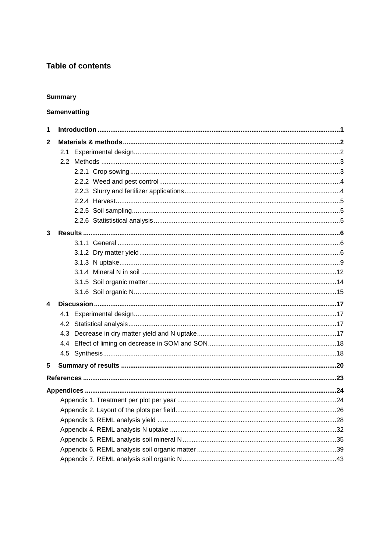# **Table of contents**

### **Summary**

# Samenvatting

| 1            |     |  |
|--------------|-----|--|
| $\mathbf{2}$ |     |  |
|              | 2.1 |  |
|              |     |  |
|              |     |  |
|              |     |  |
|              |     |  |
|              |     |  |
|              |     |  |
|              |     |  |
| 3            |     |  |
|              |     |  |
|              |     |  |
|              |     |  |
|              |     |  |
|              |     |  |
|              |     |  |
| 4            |     |  |
|              | 4.1 |  |
|              |     |  |
|              |     |  |
|              |     |  |
|              |     |  |
|              |     |  |
| 5            |     |  |
|              |     |  |
|              |     |  |
|              |     |  |
|              |     |  |
|              |     |  |
|              |     |  |
|              |     |  |
|              |     |  |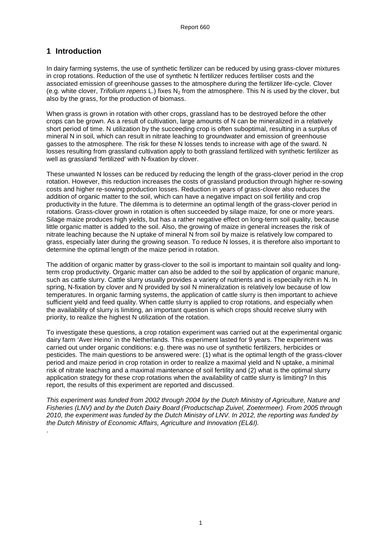# **1 Introduction**

.

In dairy farming systems, the use of synthetic fertilizer can be reduced by using grass-clover mixtures in crop rotations. Reduction of the use of synthetic N fertilizer reduces fertiliser costs and the associated emission of greenhouse gasses to the atmosphere during the fertilizer life-cycle. Clover (e.g. white clover, Trifolium repens L.) fixes  $N<sub>2</sub>$  from the atmosphere. This N is used by the clover, but also by the grass, for the production of biomass.

When grass is grown in rotation with other crops, grassland has to be destroyed before the other crops can be grown. As a result of cultivation, large amounts of N can be mineralized in a relatively short period of time. N utilization by the succeeding crop is often suboptimal, resulting in a surplus of mineral N in soil, which can result in nitrate leaching to groundwater and emission of greenhouse gasses to the atmosphere. The risk for these N losses tends to increase with age of the sward. N losses resulting from grassland cultivation apply to both grassland fertilized with synthetic fertilizer as well as grassland 'fertilized' with N-fixation by clover.

These unwanted N losses can be reduced by reducing the length of the grass-clover period in the crop rotation. However, this reduction increases the costs of grassland production through higher re-sowing costs and higher re-sowing production losses. Reduction in years of grass-clover also reduces the addition of organic matter to the soil, which can have a negative impact on soil fertility and crop productivity in the future. The dilemma is to determine an optimal length of the grass-clover period in rotations. Grass-clover grown in rotation is often succeeded by silage maize, for one or more years. Silage maize produces high yields, but has a rather negative effect on long-term soil quality. because little organic matter is added to the soil. Also, the growing of maize in general increases the risk of nitrate leaching because the N uptake of mineral N from soil by maize is relatively low compared to grass, especially later during the growing season. To reduce N losses, it is therefore also important to determine the optimal length of the maize period in rotation.

The addition of organic matter by grass-clover to the soil is important to maintain soil quality and longterm crop productivity. Organic matter can also be added to the soil by application of organic manure, such as cattle slurry. Cattle slurry usually provides a variety of nutrients and is especially rich in N. In spring, N-fixation by clover and N provided by soil N mineralization is relatively low because of low temperatures. In organic farming systems, the application of cattle slurry is then important to achieve sufficient yield and feed quality. When cattle slurry is applied to crop rotations, and especially when the availability of slurry is limiting, an important question is which crops should receive slurry with priority, to realize the highest N utilization of the rotation.

To investigate these questions, a crop rotation experiment was carried out at the experimental organic dairy farm 'Aver Heino' in the Netherlands. This experiment lasted for 9 years. The experiment was carried out under organic conditions: e.g. there was no use of synthetic fertilizers, herbicides or pesticides. The main questions to be answered were: (1) what is the optimal length of the grass-clover period and maize period in crop rotation in order to realize a maximal yield and N uptake, a minimal risk of nitrate leaching and a maximal maintenance of soil fertility and (2) what is the optimal slurry application strategy for these crop rotations when the availability of cattle slurry is limiting? In this report, the results of this experiment are reported and discussed.

This experiment was funded from 2002 through 2004 by the Dutch Ministry of Agriculture, Nature and Fisheries (LNV) and by the Dutch Dairy Board (Productschap Zuivel, Zoetermeer). From 2005 through 2010, the experiment was funded by the Dutch Ministry of LNV. In 2012, the reporting was funded by the Dutch Ministry of Economic Affairs, Agriculture and Innovation (EL&I).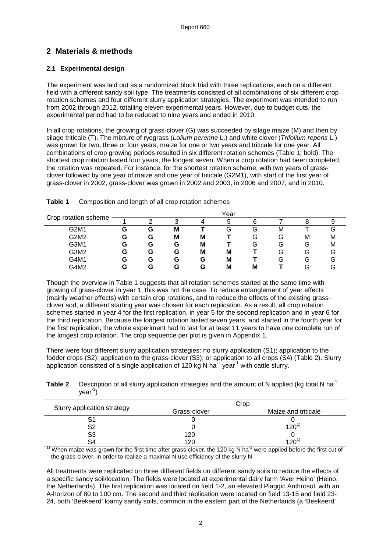# **2 Materials & methods**

#### **2.1 Experimental design**

The experiment was laid out as a randomized block trial with three replications, each on a different field with a different sandy soil type. The treatments consisted of all combinations of six different crop rotation schemes and four different slurry application strategies. The experiment was intended to run from 2002 through 2012, totalling eleven experimental years. However, due to budget cuts, the experimental period had to be reduced to nine years and ended in 2010.

In all crop rotations, the growing of grass-clover (G) was succeeded by silage maize (M) and then by silage triticale (T). The mixture of ryegrass (Lolium perenne L.) and white clover (Trifolium repens L.) was grown for two, three or four years, maize for one or two years and triticale for one year. All combinations of crop growing periods resulted in six different rotation schemes (Table 1; bold). The shortest crop rotation lasted four years, the longest seven. When a crop rotation had been completed, the rotation was repeated. For instance, for the shortest rotation scheme, with two years of grassclover followed by one year of maize and one year of triticale (G2M1), with start of the first year of grass-clover in 2002, grass-clover was grown in 2002 and 2003, in 2006 and 2007, and in 2010.

| Crop rotation scheme | Year |   |   |   |   |   |   |     |    |  |
|----------------------|------|---|---|---|---|---|---|-----|----|--|
|                      |      |   | ົ |   | 5 |   |   |     |    |  |
| G2M1                 | G    | G | M |   | G | G | M |     |    |  |
| G2M2                 | G    | G | M | М |   | G | G | м   | M  |  |
| G3M1                 | G    | G | G | M |   | G | G | Lэ  | M  |  |
| G3M2                 | G    | G | G | M | M |   | G | G   | ı٦ |  |
| G4M1                 | G    | G | G | G | М |   | G | ۰.  |    |  |
| G4M2                 | G    | G | G | G | M | М |   | . п |    |  |

| Table 1 | Composition and length of all crop rotation schemes |  |
|---------|-----------------------------------------------------|--|
|         |                                                     |  |

Though the overview in Table 1 suggests that all rotation schemes started at the same time with growing of grass-clover in year 1, this was not the case. To reduce entanglement of year effects (mainly weather effects) with certain crop rotations, and to reduce the effects of the existing grassclover sod, a different starting year was chosen for each replication. As a result, all crop rotation schemes started in year 4 for the first replication, in year 5 for the second replication and in year 6 for the third replication. Because the longest rotation lasted seven years, and started in the fourth year for the first replication, the whole experiment had to last for at least 11 years to have one complete run of the longest crop rotation. The crop sequence per plot is given in Appendix 1.

There were four different slurry application strategies: no slurry application (S1); application to the fodder crops (S2); application to the grass-clover (S3); or application to all crops (S4) (Table 2). Slurry application consisted of a single application of 120 kg N ha<sup>-1</sup> year<sup>-1</sup> with cattle slurry.

**Table 2** Description of all slurry application strategies and the amount of N applied (kg total N ha<sup>-1</sup>)  $vear<sup>-1</sup>$ 

|                             | Crop         |                     |  |  |  |  |
|-----------------------------|--------------|---------------------|--|--|--|--|
| Slurry application strategy | Grass-clover | Maize and triticale |  |  |  |  |
|                             |              |                     |  |  |  |  |
| S2                          |              | $120^{11}$          |  |  |  |  |
| S3                          | 120          |                     |  |  |  |  |
|                             | 120          | 120 $^{\circ}$      |  |  |  |  |

<sup>1)</sup> When maize was grown for the first time after grass-clover, the 120 kg N ha<sup>-1</sup> were applied before the first cut of the grass-clover, in order to realize a maximal N use efficiency of the slurry N

All treatments were replicated on three different fields on different sandy soils to reduce the effects of a specific sandy soil/location. The fields were located at experimental dairy farm 'Aver Heino' (Heino, the Netherlands). The first replication was located on field 1-2, an elevated Plaggic Anthrosol, with an A-horizon of 80 to 100 cm. The second and third replication were located on field 13-15 and field 23- 24, both 'Beekeerd' loamy sandy soils, common in the eastern part of the Netherlands (a 'Beekeerd'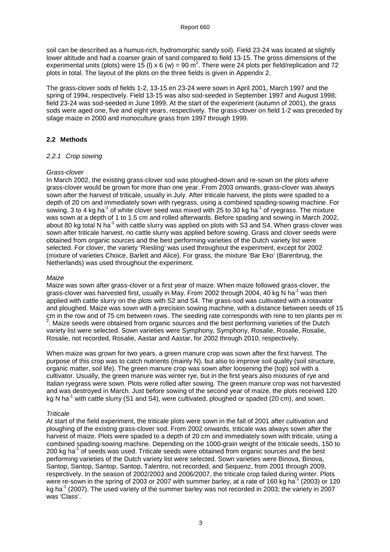soil can be described as a humus-rich, hydromorphic sandy soil). Field 23-24 was located at slightly lower altitude and had a coarser grain of sand compared to field 13-15. The gross dimensions of the experimental units (plots) were 15 (I) x 6 (w) = 90  $\text{m}^2$ . There were 24 plots per field/replication and 72 plots in total. The layout of the plots on the three fields is given in Appendix 2.

The grass-clover sods of fields 1-2, 13-15 en 23-24 were sown in April 2001, March 1997 and the spring of 1994, respectively. Field 13-15 was also sod-seeded in September 1997 and August 1998; field 23-24 was sod-seeded in June 1999. At the start of the experiment (autumn of 2001), the grass sods were aged one, five and eight years, respectively. The grass-clover on field 1-2 was preceded by silage maize in 2000 and monoculture grass from 1997 through 1999.

#### **2.2 Methods**

#### 2.2.1 Crop sowing

#### Grass-clover

In March 2002, the existing grass-clover sod was ploughed-down and re-sown on the plots where grass-clover would be grown for more than one year. From 2003 onwards, grass-clover was always sown after the harvest of triticale, usually in July. After triticale harvest, the plots were spaded to a depth of 20 cm and immediately sown with ryegrass, using a combined spading-sowing machine. For sowing, 3 to 4 kg ha<sup>-1</sup> of white clover seed was mixed with 25 to 30 kg ha<sup>-1</sup> of ryegrass. The mixture was sown at a depth of 1 to 1.5 cm and rolled afterwards. Before spading and sowing in March 2002, about 80 kg total N ha<sup>-1</sup> with cattle slurry was applied on plots with S3 and S4. When grass-clover was sown after triticale harvest, no cattle slurry was applied before sowing. Grass and clover seeds were obtained from organic sources and the best performing varieties of the Dutch variety list were selected. For clover, the variety 'Riesling' was used throughout the experiment, except for 2002 (mixture of varieties Choice, Barlett and Alice). For grass, the mixture 'Bar Eko' (Barenbrug, the Netherlands) was used throughout the experiment.

#### Maize

Maize was sown after grass-clover or a first year of maize. When maize followed grass-clover, the grass-clover was harvested first, usually in May. From 2002 through 2004, 40 kg N ha<sup>-1</sup> was then applied with cattle slurry on the plots with S2 and S4. The grass-sod was cultivated with a rotavator and ploughed. Maize was sown with a precision sowing machine, with a distance between seeds of 15 cm in the row and of 75 cm between rows. The seeding rate corresponds with nine to ten plants per m- $2$ . Maize seeds were obtained from organic sources and the best performing varieties of the Dutch variety list were selected. Sown varieties were Symphony, Symphony, Rosalie, Rosalie, Rosalie, Rosalie, not recorded, Rosalie, Aastar and Aastar, for 2002 through 2010, respectively.

When maize was grown for two years, a green manure crop was sown after the first harvest. The purpose of this crop was to catch nutrients (mainly N), but also to improve soil quality (soil structure, organic matter, soil life). The green manure crop was sown after loosening the (top) soil with a cultivator. Usually, the green manure was winter rye, but in the first years also mixtures of rye and Italian ryegrass were sown. Plots were rolled after sowing. The green manure crop was not harvested and was destroyed in March. Just before sowing of the second year of maize, the plots received 120 kg N ha<sup>-1</sup> with cattle slurry (S1 and S4), were cultivated, ploughed or spaded (20 cm), and sown.

#### **Triticale**

At start of the field experiment, the triticale plots were sown in the fall of 2001 after cultivation and ploughing of the existing grass-clover sod. From 2002 onwards, triticale was always sown after the harvest of maize. Plots were spaded to a depth of 20 cm and immediately sown with triticale, using a combined spading-sowing machine. Depending on the 1000-grain weight of the triticale seeds, 150 to 200 kg ha<sup>-1</sup> of seeds was used. Triticale seeds were obtained from organic sources and the best performing varieties of the Dutch variety list were selected. Sown varieties were Binova, Binova, Santop, Santop, Santop, Santop, Talentro, not recorded, and Sequenz, from 2001 through 2009, respectively. In the season of 2002/2003 and 2006/2007, the triticale crop failed during winter. Plots were re-sown in the spring of 2003 or 2007 with summer barley, at a rate of 160 kg ha<sup>-1</sup> (2003) or 120 kg ha<sup>-1</sup> (2007). The used variety of the summer barley was not recorded in 2003; the variety in 2007 was 'Class'.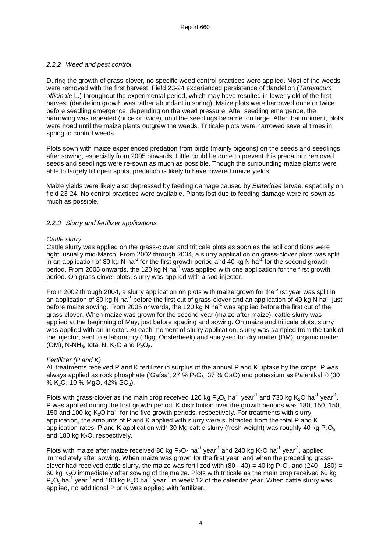#### 2.2.2 Weed and pest control

During the growth of grass-clover, no specific weed control practices were applied. Most of the weeds were removed with the first harvest. Field 23-24 experienced persistence of dandelion (Taraxacum officinale L.) throughout the experimental period, which may have resulted in lower yield of the first harvest (dandelion growth was rather abundant in spring). Maize plots were harrowed once or twice before seedling emergence, depending on the weed pressure. After seedling emergence, the harrowing was repeated (once or twice), until the seedlings became too large. After that moment, plots were hoed until the maize plants outgrew the weeds. Triticale plots were harrowed several times in spring to control weeds.

Plots sown with maize experienced predation from birds (mainly pigeons) on the seeds and seedlings after sowing, especially from 2005 onwards. Little could be done to prevent this predation; removed seeds and seedlings were re-sown as much as possible. Though the surrounding maize plants were able to largely fill open spots, predation is likely to have lowered maize yields.

Maize yields were likely also depressed by feeding damage caused by Elateridae larvae, especially on field 23-24. No control practices were available. Plants lost due to feeding damage were re-sown as much as possible.

#### 2.2.3 Slurry and fertilizer applications

#### Cattle slurry

Cattle slurry was applied on the grass-clover and triticale plots as soon as the soil conditions were right, usually mid-March. From 2002 through 2004, a slurry application on grass-clover plots was split in an application of 80 kg N ha<sup>-1</sup> for the first growth period and 40 kg N ha<sup>-1</sup> for the second growth period. From 2005 onwards, the 120 kg N ha<sup>-1</sup> was applied with one application for the first growth period. On grass-clover plots, slurry was applied with a sod-injector.

From 2002 through 2004, a slurry application on plots with maize grown for the first year was split in an application of 80 kg N ha<sup>-1</sup> before the first cut of grass-clover and an application of 40 kg N ha<sup>-1</sup> just before maize sowing. From 2005 onwards, the 120 kg N ha<sup>-1</sup> was applied before the first cut of the grass-clover. When maize was grown for the second year (maize after maize), cattle slurry was applied at the beginning of May, just before spading and sowing. On maize and triticale plots, slurry was applied with an injector. At each moment of slurry application, slurry was sampled from the tank of the injector, sent to a laboratory (Blgg, Oosterbeek) and analysed for dry matter (DM), organic matter (OM), N-NH<sub>3</sub>, total N, K<sub>2</sub>O and  $P_2O_5$ .

#### Fertilizer (P and K)

All treatments received P and K fertilizer in surplus of the annual P and K uptake by the crops. P was always applied as rock phosphate ('Gafsa'; 27 %  $P_2O_5$ , 37 % CaO) and potassium as Patentkali© (30 % K<sub>2</sub>O, 10 % MgO, 42% SO<sub>3</sub>).

Plots with grass-clover as the main crop received 120 kg P<sub>2</sub>O<sub>5</sub> ha<sup>-1</sup> year<sup>-1</sup> and 730 kg K<sub>2</sub>O ha<sup>-1</sup> year<sup>-1</sup>. P was applied during the first growth period; K distribution over the growth periods was 180, 150, 150, 150 and 100 kg  $K<sub>2</sub>O$  ha<sup>-1</sup> for the five growth periods, respectively. For treatments with slurry application, the amounts of P and K applied with slurry were subtracted from the total P and K application rates. P and K application with 30 Mg cattle slurry (fresh weight) was roughly 40 kg  $P_2O_5$ and 180 kg  $K<sub>2</sub>O$ , respectively.

Plots with maize after maize received 80 kg  $P_2O_5$  ha<sup>-1</sup> year<sup>-1</sup> and 240 kg K<sub>2</sub>O ha<sup>-1</sup> year<sup>-1</sup>, applied immediately after sowing. When maize was grown for the first year, and when the preceding grassclover had received cattle slurry, the maize was fertilized with  $(80 - 40) = 40$  kg P<sub>2</sub>O<sub>5</sub> and  $(240 - 180) =$ 60 kg K2O immediately after sowing of the maize. Plots with triticale as the main crop received 60 kg  $P_2O_5$  ha<sup>-1</sup> year<sup>-1</sup> and 180 kg K<sub>2</sub>O ha<sup>-1</sup> year<sup>-1</sup> in week 12 of the calendar year. When cattle slurry was applied, no additional P or K was applied with fertilizer.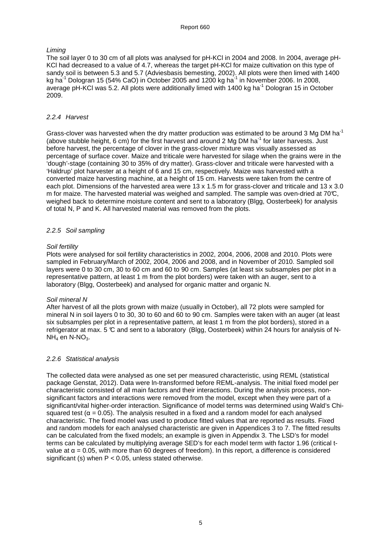#### Liming

The soil layer 0 to 30 cm of all plots was analysed for pH-KCl in 2004 and 2008. In 2004, average pH-KCl had decreased to a value of 4.7, whereas the target pH-KCl for maize cultivation on this type of sandy soil is between 5.3 and 5.7 (Adviesbasis bemesting, 2002). All plots were then limed with 1400 kg ha<sup>-1</sup> Dologran 15 (54% CaO) in October 2005 and 1200 kg ha<sup>-1</sup> in November 2006. In 2008, average pH-KCl was 5.2. All plots were additionally limed with 1400 kg ha<sup>-1</sup> Dologran 15 in October 2009.

#### 2.2.4 Harvest

Grass-clover was harvested when the dry matter production was estimated to be around 3 Mg DM ha<sup>-1</sup> (above stubble height, 6 cm) for the first harvest and around 2 Mg DM ha<sup>-1</sup> for later harvests. Just before harvest, the percentage of clover in the grass-clover mixture was visually assessed as percentage of surface cover. Maize and triticale were harvested for silage when the grains were in the 'dough'-stage (containing 30 to 35% of dry matter). Grass-clover and triticale were harvested with a 'Haldrup' plot harvester at a height of 6 and 15 cm, respectively. Maize was harvested with a converted maize harvesting machine, at a height of 15 cm. Harvests were taken from the centre of each plot. Dimensions of the harvested area were 13 x 1.5 m for grass-clover and triticale and 13 x 3.0 m for maize. The harvested material was weighed and sampled. The sample was oven-dried at 70 $\mathbb{C}$ , weighed back to determine moisture content and sent to a laboratory (Blgg, Oosterbeek) for analysis of total N, P and K. All harvested material was removed from the plots.

#### 2.2.5 Soil sampling

#### Soil fertility

Plots were analysed for soil fertility characteristics in 2002, 2004, 2006, 2008 and 2010. Plots were sampled in February/March of 2002, 2004, 2006 and 2008, and in November of 2010. Sampled soil layers were 0 to 30 cm, 30 to 60 cm and 60 to 90 cm. Samples (at least six subsamples per plot in a representative pattern, at least 1 m from the plot borders) were taken with an auger, sent to a laboratory (Blgg, Oosterbeek) and analysed for organic matter and organic N.

#### Soil mineral N

After harvest of all the plots grown with maize (usually in October), all 72 plots were sampled for mineral N in soil layers 0 to 30, 30 to 60 and 60 to 90 cm. Samples were taken with an auger (at least six subsamples per plot in a representative pattern, at least 1 m from the plot borders), stored in a refrigerator at max. 5  $\mathbb C$  and sent to a laboratory (Blgg, Oosterbeek) within 24 hours for analysis of N- $NH<sub>4</sub>$  en N-NO<sub>3</sub>.

#### 2.2.6 Statistical analysis

The collected data were analysed as one set per measured characteristic, using REML (statistical package Genstat, 2012). Data were ln-transformed before REML-analysis. The initial fixed model per characteristic consisted of all main factors and their interactions. During the analysis process, nonsignificant factors and interactions were removed from the model, except when they were part of a significant/vital higher-order interaction. Significance of model terms was determined using Wald's Chisquared test ( $\alpha$  = 0.05). The analysis resulted in a fixed and a random model for each analysed characteristic. The fixed model was used to produce fitted values that are reported as results. Fixed and random models for each analysed characteristic are given in Appendices 3 to 7. The fitted results can be calculated from the fixed models; an example is given in Appendix 3. The LSD's for model terms can be calculated by multiplying average SED's for each model term with factor 1.96 (critical tvalue at  $α = 0.05$ , with more than 60 degrees of freedom). In this report, a difference is considered significant (s) when P < 0.05, unless stated otherwise.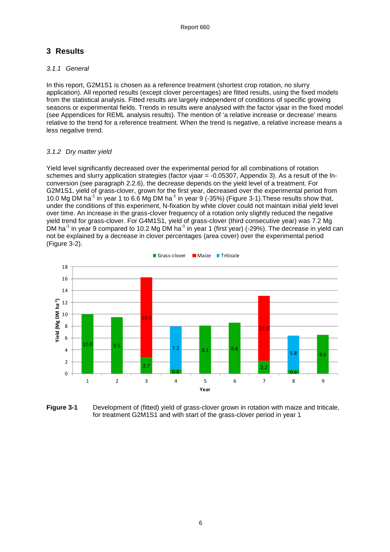# **3 Results**

#### 3.1.1 General

In this report, G2M1S1 is chosen as a reference treatment (shortest crop rotation, no slurry application). All reported results (except clover percentages) are fitted results, using the fixed models from the statistical analysis. Fitted results are largely independent of conditions of specific growing seasons or experimental fields. Trends in results were analysed with the factor vjaar in the fixed model (see Appendices for REML analysis results). The mention of 'a relative increase or decrease' means relative to the trend for a reference treatment. When the trend is negative, a relative increase means a less negative trend.

#### 3.1.2 Dry matter yield

Yield level significantly decreased over the experimental period for all combinations of rotation schemes and slurry application strategies (factor vjaar = -0.05307, Appendix 3). As a result of the lnconversion (see paragraph 2.2.6), the decrease depends on the yield level of a treatment. For G2M1S1, yield of grass-clover, grown for the first year, decreased over the experimental period from 10.0 Mg DM ha<sup>-1</sup> in year 1 to 6.6 Mg DM ha<sup>-1</sup> in year 9 (-35%) (Figure 3-1). These results show that, under the conditions of this experiment, N-fixation by white clover could not maintain initial yield level over time. An increase in the grass-clover frequency of a rotation only slightly reduced the negative yield trend for grass-clover. For G4M1S1, yield of grass-clover (third consecutive year) was 7.2 Mg DM ha<sup>-1</sup> in year 9 compared to 10.2 Mg DM ha<sup>-1</sup> in year 1 (first year) (-29%). The decrease in yield can not be explained by a decrease in clover percentages (area cover) over the experimental period (Figure 3-2).



Figure 3-1 Development of (fitted) yield of grass-clover grown in rotation with maize and triticale. for treatment G2M1S1 and with start of the grass-clover period in year 1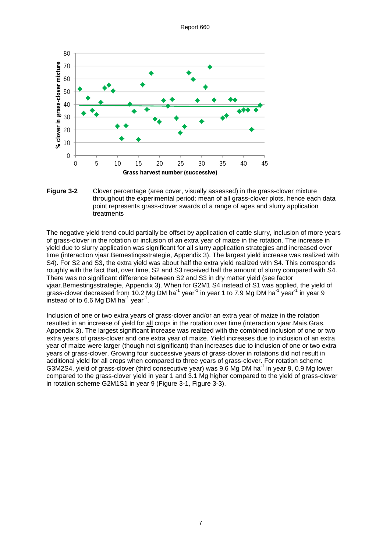

#### **Figure 3-2** Clover percentage (area cover, visually assessed) in the grass-clover mixture throughout the experimental period; mean of all grass-clover plots, hence each data point represents grass-clover swards of a range of ages and slurry application treatments

The negative yield trend could partially be offset by application of cattle slurry, inclusion of more years of grass-clover in the rotation or inclusion of an extra year of maize in the rotation. The increase in yield due to slurry application was significant for all slurry application strategies and increased over time (interaction vjaar.Bemestingsstrategie, Appendix 3). The largest yield increase was realized with S4). For S2 and S3, the extra yield was about half the extra yield realized with S4. This corresponds roughly with the fact that, over time, S2 and S3 received half the amount of slurry compared with S4. There was no significant difference between S2 and S3 in dry matter yield (see factor vjaar.Bemestingsstrategie, Appendix 3). When for G2M1 S4 instead of S1 was applied, the yield of grass-clover decreased from 10.2 Mg DM ha<sup>-1</sup> year<sup>-1</sup> in year 1 to 7.9 Mg DM ha<sup>-1</sup> year<sup>-1</sup> in year 9 instead of to 6.6 Mg DM ha<sup>-1</sup> year<sup>-1</sup>.

Inclusion of one or two extra years of grass-clover and/or an extra year of maize in the rotation resulted in an increase of yield for all crops in the rotation over time (interaction vjaar.Mais.Gras, Appendix 3). The largest significant increase was realized with the combined inclusion of one or two extra years of grass-clover and one extra year of maize. Yield increases due to inclusion of an extra year of maize were larger (though not significant) than increases due to inclusion of one or two extra years of grass-clover. Growing four successive years of grass-clover in rotations did not result in additional yield for all crops when compared to three years of grass-clover. For rotation scheme G3M2S4, yield of grass-clover (third consecutive year) was 9.6 Mg DM ha<sup>-1</sup> in year 9, 0.9 Mg lower compared to the grass-clover yield in year 1 and 3.1 Mg higher compared to the yield of grass-clover in rotation scheme G2M1S1 in year 9 (Figure 3-1, Figure 3-3).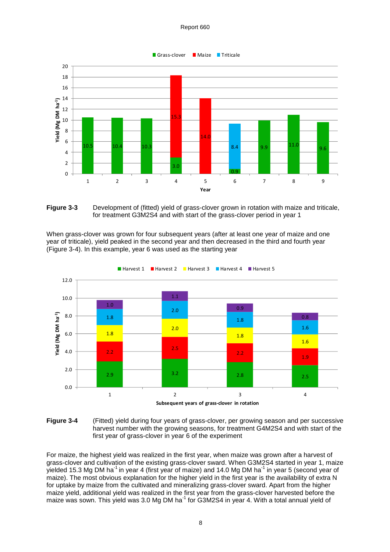



When grass-clover was grown for four subsequent years (after at least one year of maize and one year of triticale), yield peaked in the second year and then decreased in the third and fourth year (Figure 3-4). In this example, year 6 was used as the starting year





For maize, the highest yield was realized in the first year, when maize was grown after a harvest of grass-clover and cultivation of the existing grass-clover sward. When G3M2S4 started in year 1, maize yielded 15.3 Mg DM ha<sup>-1</sup> in year 4 (first year of maize) and 14.0 Mg DM ha<sup>-1</sup> in year 5 (second year of maize). The most obvious explanation for the higher yield in the first year is the availability of extra N for uptake by maize from the cultivated and mineralizing grass-clover sward. Apart from the higher maize yield, additional yield was realized in the first year from the grass-clover harvested before the maize was sown. This yield was 3.0 Mg DM ha<sup>-1</sup> for G3M2S4 in year 4. With a total annual yield of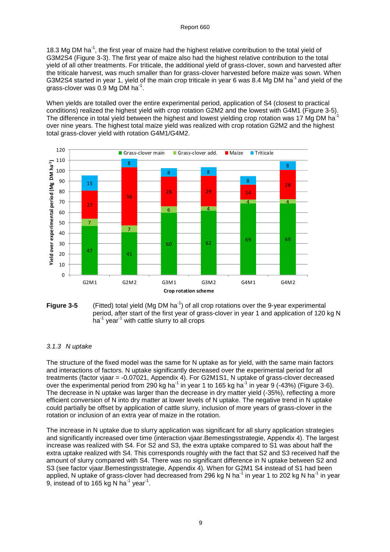18.3 Mg DM ha<sup>-1</sup>, the first year of maize had the highest relative contribution to the total yield of G3M2S4 (Figure 3-3). The first year of maize also had the highest relative contribution to the total yield of all other treatments. For triticale, the additional yield of grass-clover, sown and harvested after the triticale harvest, was much smaller than for grass-clover harvested before maize was sown. When G3M2S4 started in year 1, yield of the main crop triticale in year 6 was 8.4 Mg DM ha<sup>-1</sup> and yield of the grass-clover was 0.9 Mg DM ha<sup>-1</sup>.

When yields are totalled over the entire experimental period, application of S4 (closest to practical conditions) realized the highest yield with crop rotation G2M2 and the lowest with G4M1 (Figure 3-5). The difference in total yield between the highest and lowest yielding crop rotation was 17 Mg DM haover nine years. The highest total maize yield was realized with crop rotation G2M2 and the highest total grass-clover yield with rotation G4M1/G4M2.





#### 3.1.3 N uptake

The structure of the fixed model was the same for N uptake as for yield, with the same main factors and interactions of factors. N uptake significantly decreased over the experimental period for all treatments (factor vjaar = -0.07021, Appendix 4). For G2M1S1, N uptake of grass-clover decreased over the experimental period from 290 kg ha<sup>-1</sup> in year 1 to 165 kg ha<sup>-1</sup> in year 9 (-43%) (Figure 3-6). The decrease in N uptake was larger than the decrease in dry matter yield (-35%), reflecting a more efficient conversion of N into dry matter at lower levels of N uptake. The negative trend in N uptake could partially be offset by application of cattle slurry, inclusion of more years of grass-clover in the rotation or inclusion of an extra year of maize in the rotation.

The increase in N uptake due to slurry application was significant for all slurry application strategies and significantly increased over time (interaction vjaar.Bemestingsstrategie, Appendix 4). The largest increase was realized with S4. For S2 and S3, the extra uptake compared to S1 was about half the extra uptake realized with S4. This corresponds roughly with the fact that S2 and S3 received half the amount of slurry compared with S4. There was no significant difference in N uptake between S2 and S3 (see factor vjaar.Bemestingsstrategie, Appendix 4). When for G2M1 S4 instead of S1 had been applied, N uptake of grass-clover had decreased from 296 kg N ha<sup>-1</sup> in year 1 to 202 kg N ha<sup>-1</sup> in year 9, instead of to 165 kg N ha $^{-1}$  year $^{-1}$ .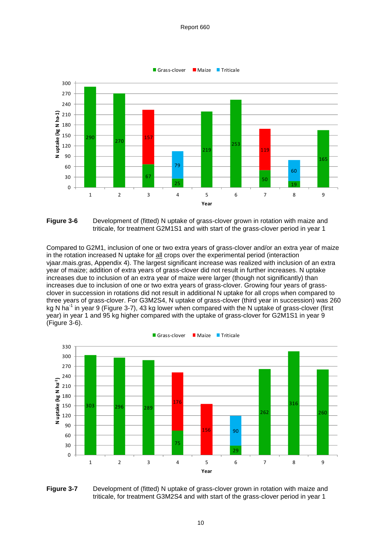



Compared to G2M1, inclusion of one or two extra years of grass-clover and/or an extra year of maize in the rotation increased N uptake for all crops over the experimental period (interaction vjaar.mais.gras, Appendix 4). The largest significant increase was realized with inclusion of an extra year of maize; addition of extra years of grass-clover did not result in further increases. N uptake increases due to inclusion of an extra year of maize were larger (though not significantly) than increases due to inclusion of one or two extra years of grass-clover. Growing four years of grassclover in succession in rotations did not result in additional N uptake for all crops when compared to three years of grass-clover. For G3M2S4, N uptake of grass-clover (third year in succession) was 260 kg N ha<sup>-1</sup> in year 9 (Figure 3-7), 43 kg lower when compared with the N uptake of grass-clover (first year) in year 1 and 95 kg higher compared with the uptake of grass-clover for G2M1S1 in year 9 (Figure 3-6).



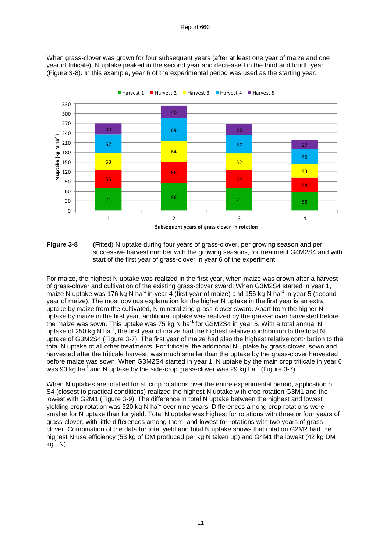When grass-clover was grown for four subsequent years (after at least one year of maize and one year of triticale), N uptake peaked in the second year and decreased in the third and fourth year (Figure 3-8). In this example, year 6 of the experimental period was used as the starting year.





For maize, the highest N uptake was realized in the first year, when maize was grown after a harvest of grass-clover and cultivation of the existing grass-clover sward. When G3M2S4 started in year 1, maize N uptake was 176 kg N ha<sup>-1</sup> in year 4 (first year of maize) and 156 kg N ha<sup>-1</sup> in year 5 (second year of maize). The most obvious explanation for the higher N uptake in the first year is an extra uptake by maize from the cultivated, N mineralizing grass-clover sward. Apart from the higher N uptake by maize in the first year, additional uptake was realized by the grass-clover harvested before the maize was sown. This uptake was 75 kg N ha-1 for G3M2S4 in year 5. With a total annual N uptake of 250 kg N ha<sup>-1</sup>, the first year of maize had the highest relative contribution to the total N uptake of G3M2S4 (Figure 3-7). The first year of maize had also the highest relative contribution to the total N uptake of all other treatments. For triticale, the additional N uptake by grass-clover, sown and harvested after the triticale harvest, was much smaller than the uptake by the grass-clover harvested before maize was sown. When G3M2S4 started in year 1, N uptake by the main crop triticale in year 6 was 90 kg ha<sup>-1</sup> and N uptake by the side-crop grass-clover was 29 kg ha<sup>-1</sup> (Figure 3-7).

When N uptakes are totalled for all crop rotations over the entire experimental period, application of S4 (closest to practical conditions) realized the highest N uptake with crop rotation G3M1 and the lowest with G2M1 (Figure 3-9). The difference in total N uptake between the highest and lowest yielding crop rotation was 320 kg N ha<sup>-1</sup> over nine years. Differences among crop rotations were smaller for N uptake than for yield. Total N uptake was highest for rotations with three or four years of grass-clover, with little differences among them, and lowest for rotations with two years of grassclover. Combination of the data for total yield and total N uptake shows that rotation G2M2 had the highest N use efficiency (53 kg of DM produced per kg N taken up) and G4M1 the lowest (42 kg DM  $kg^{-1}$  N).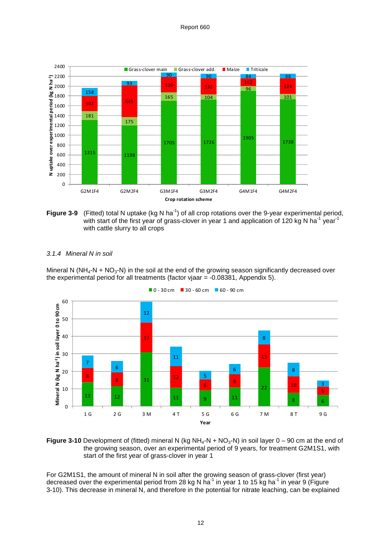



#### 3.1.4 Mineral N in soil

Mineral N (NH<sub>4</sub>-N + NO<sub>3</sub>-N) in the soil at the end of the growing season significantly decreased over the experimental period for all treatments (factor vjaar = -0.08381, Appendix 5).





**Figure 3-10** Development of (fitted) mineral N (kg NH<sub>4</sub>-N + NO<sub>3</sub>-N) in soil layer 0 – 90 cm at the end of the growing season, over an experimental period of 9 years, for treatment G2M1S1, with start of the first year of grass-clover in year 1

For G2M1S1, the amount of mineral N in soil after the growing season of grass-clover (first year) decreased over the experimental period from 28 kg N ha<sup>-1</sup> in year 1 to 15 kg ha<sup>-1</sup> in year 9 (Figure 3-10). This decrease in mineral N, and therefore in the potential for nitrate leaching, can be explained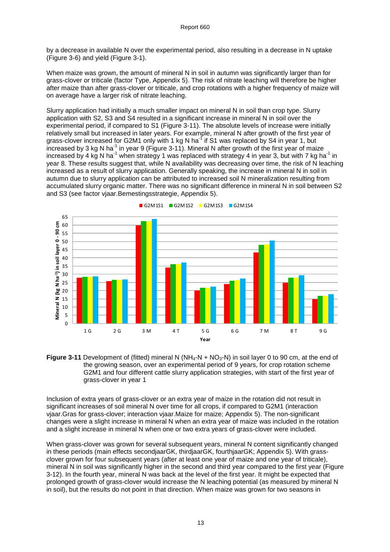by a decrease in available N over the experimental period, also resulting in a decrease in N uptake (Figure 3-6) and yield (Figure 3-1).

When maize was grown, the amount of mineral N in soil in autumn was significantly larger than for grass-clover or triticale (factor Type, Appendix 5). The risk of nitrate leaching will therefore be higher after maize than after grass-clover or triticale, and crop rotations with a higher frequency of maize will on average have a larger risk of nitrate leaching.

Slurry application had initially a much smaller impact on mineral N in soil than crop type. Slurry application with S2, S3 and S4 resulted in a significant increase in mineral N in soil over the experimental period, if compared to S1 (Figure 3-11). The absolute levels of increase were initially relatively small but increased in later years. For example, mineral N after growth of the first year of grass-clover increased for G2M1 only with 1 kg N ha<sup>-1</sup> if S1 was replaced by S4 in year 1, but  $\mu$  increased by 3 kg N ha<sup>-1</sup> in year 9 (Figure 3-11). Mineral N after growth of the first year of maize increased by 4 kg N ha<sup>-1</sup> when strategy 1 was replaced with strategy 4 in year 3, but with 7 kg ha<sup>-1</sup> in year 8. These results suggest that, while N availability was decreasing over time, the risk of N leaching increased as a result of slurry application. Generally speaking, the increase in mineral N in soil in autumn due to slurry application can be attributed to increased soil N mineralization resulting from accumulated slurry organic matter. There was no significant difference in mineral N in soil between S2 and S3 (see factor vjaar.Bemestingsstrategie, Appendix 5).



G2M1S1 G2M1S2 G2M1S3 G2M1S4

Figure 3-11 Development of (fitted) mineral N (NH<sub>4</sub>-N + NO<sub>3</sub>-N) in soil layer 0 to 90 cm, at the end of the growing season, over an experimental period of 9 years, for crop rotation scheme G2M1 and four different cattle slurry application strategies, with start of the first year of grass-clover in year 1

Inclusion of extra years of grass-clover or an extra year of maize in the rotation did not result in significant increases of soil mineral N over time for all crops, if compared to G2M1 (interaction vjaar.Gras for grass-clover; interaction vjaar.Maize for maize; Appendix 5). The non-significant changes were a slight increase in mineral N when an extra year of maize was included in the rotation and a slight increase in mineral N when one or two extra years of grass-clover were included.

When grass-clover was grown for several subsequent years, mineral N content significantly changed in these periods (main effects secondjaarGK, thirdjaarGK, fourthjaarGK; Appendix 5). With grassclover grown for four subsequent years (after at least one year of maize and one year of triticale), mineral N in soil was significantly higher in the second and third year compared to the first year (Figure 3-12). In the fourth year, mineral N was back at the level of the first year. It might be expected that prolonged growth of grass-clover would increase the N leaching potential (as measured by mineral N in soil), but the results do not point in that direction. When maize was grown for two seasons in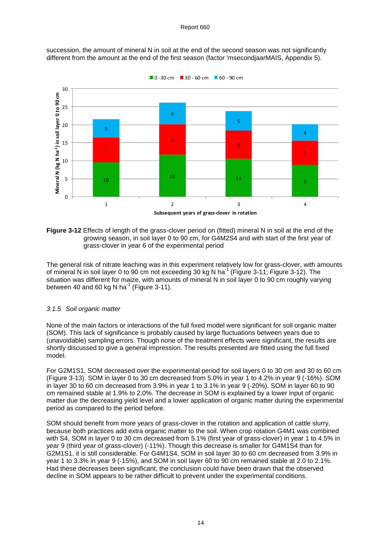

succession, the amount of mineral N in soil at the end of the second season was not significantly different from the amount at the end of the first season (factor 'msecondjaarMAIS, Appendix 5).

**Figure 3-12** Effects of length of the grass-clover period on (fitted) mineral N in soil at the end of the growing season, in soil layer 0 to 90 cm, for G4M2S4 and with start of the first year of grass-clover in year 6 of the experimental period

The general risk of nitrate leaching was in this experiment relatively low for grass-clover, with amounts of mineral N in soil layer 0 to 90 cm not exceeding 30 kg N ha<sup>-1</sup> (Figure 3-11; Figure 3-12). The situation was different for maize, with amounts of mineral N in soil layer 0 to 90 cm roughly varying between 40 and 60 kg N ha<sup>-1</sup> (Figure 3-11).

#### 3.1.5 Soil organic matter

None of the main factors or interactions of the full fixed model were significant for soil organic matter (SOM). This lack of significance is probably caused by large fluctuations between years due to (unavoidable) sampling errors. Though none of the treatment effects were significant, the results are shortly discussed to give a general impression. The results presented are fitted using the full fixed model.

For G2M1S1, SOM decreased over the experimental period for soil layers 0 to 30 cm and 30 to 60 cm (Figure 3-13). SOM in layer 0 to 30 cm decreased from 5.0% in year 1 to 4.2% in year 9 (-16%). SOM in layer 30 to 60 cm decreased from 3.9% in year 1 to 3.1% in year 9 (-20%). SOM in layer 60 to 90 cm remained stable at 1.9% to 2.0%. The decrease in SOM is explained by a lower input of organic matter due the decreasing yield level and a lower application of organic matter during the experimental period as compared to the period before.

SOM should benefit from more years of grass-clover in the rotation and application of cattle slurry, because both practices add extra organic matter to the soil. When crop rotation G4M1 was combined with S4, SOM in layer 0 to 30 cm decreased from 5.1% (first year of grass-clover) in year 1 to 4.5% in year 9 (third year of grass-clover) (-11%). Though this decrease is smaller for G4M1S4 than for G2M1S1, it is still considerable. For G4M1S4, SOM in soil layer 30 to 60 cm decreased from 3.9% in year 1 to 3.3% in year 9 (-15%), and SOM in soil layer 60 to 90 cm remained stable at 2.0 to 2.1%. Had these decreases been significant, the conclusion could have been drawn that the observed decline in SOM appears to be rather difficult to prevent under the experimental conditions.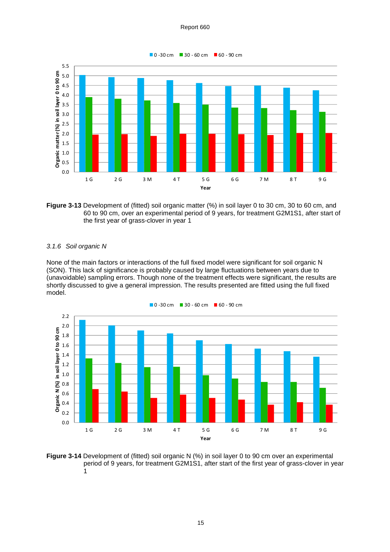![](_page_24_Figure_1.jpeg)

![](_page_24_Figure_2.jpeg)

#### 3.1.6 Soil organic N

None of the main factors or interactions of the full fixed model were significant for soil organic N (SON). This lack of significance is probably caused by large fluctuations between years due to (unavoidable) sampling errors. Though none of the treatment effects were significant, the results are shortly discussed to give a general impression. The results presented are fitted using the full fixed model.

![](_page_24_Figure_5.jpeg)

**Figure 3-14** Development of (fitted) soil organic N (%) in soil layer 0 to 90 cm over an experimental period of 9 years, for treatment G2M1S1, after start of the first year of grass-clover in year 1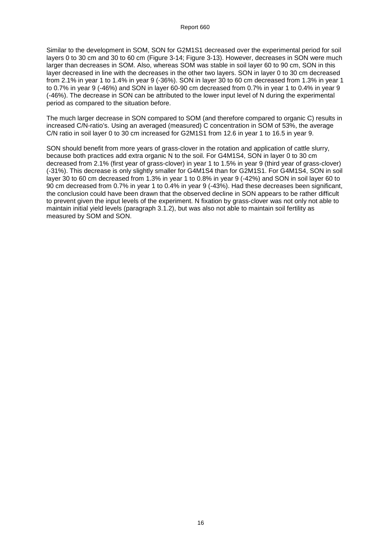Similar to the development in SOM, SON for G2M1S1 decreased over the experimental period for soil layers 0 to 30 cm and 30 to 60 cm (Figure 3-14; Figure 3-13). However, decreases in SON were much larger than decreases in SOM. Also, whereas SOM was stable in soil layer 60 to 90 cm, SON in this layer decreased in line with the decreases in the other two layers. SON in layer 0 to 30 cm decreased from 2.1% in year 1 to 1.4% in year 9 (-36%). SON in layer 30 to 60 cm decreased from 1.3% in year 1 to 0.7% in year 9 (-46%) and SON in layer 60-90 cm decreased from 0.7% in year 1 to 0.4% in year 9 (-46%). The decrease in SON can be attributed to the lower input level of N during the experimental period as compared to the situation before.

The much larger decrease in SON compared to SOM (and therefore compared to organic C) results in increased C/N-ratio's. Using an averaged (measured) C concentration in SOM of 53%, the average C/N ratio in soil layer 0 to 30 cm increased for G2M1S1 from 12.6 in year 1 to 16.5 in year 9.

SON should benefit from more years of grass-clover in the rotation and application of cattle slurry, because both practices add extra organic N to the soil. For G4M1S4, SON in layer 0 to 30 cm decreased from 2.1% (first year of grass-clover) in year 1 to 1.5% in year 9 (third year of grass-clover) (-31%). This decrease is only slightly smaller for G4M1S4 than for G2M1S1. For G4M1S4, SON in soil layer 30 to 60 cm decreased from 1.3% in year 1 to 0.8% in year 9 (-42%) and SON in soil layer 60 to 90 cm decreased from 0.7% in year 1 to 0.4% in year 9 (-43%). Had these decreases been significant, the conclusion could have been drawn that the observed decline in SON appears to be rather difficult to prevent given the input levels of the experiment. N fixation by grass-clover was not only not able to maintain initial yield levels (paragraph 3.1.2), but was also not able to maintain soil fertility as measured by SOM and SON.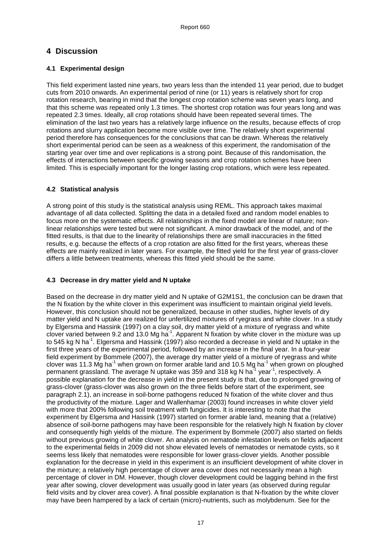# **4 Discussion**

#### **4.1 Experimental design**

This field experiment lasted nine years, two years less than the intended 11 year period, due to budget cuts from 2010 onwards. An experimental period of nine (or 11) years is relatively short for crop rotation research, bearing in mind that the longest crop rotation scheme was seven years long, and that this scheme was repeated only 1.3 times. The shortest crop rotation was four years long and was repeated 2.3 times. Ideally, all crop rotations should have been repeated several times. The elimination of the last two years has a relatively large influence on the results, because effects of crop rotations and slurry application become more visible over time. The relatively short experimental period therefore has consequences for the conclusions that can be drawn. Whereas the relatively short experimental period can be seen as a weakness of this experiment, the randomisation of the starting year over time and over replications is a strong point. Because of this randomisation, the effects of interactions between specific growing seasons and crop rotation schemes have been limited. This is especially important for the longer lasting crop rotations, which were less repeated.

#### **4.2 Statistical analysis**

A strong point of this study is the statistical analysis using REML. This approach takes maximal advantage of all data collected. Splitting the data in a detailed fixed and random model enables to focus more on the systematic effects. All relationships in the fixed model are linear of nature; nonlinear relationships were tested but were not significant. A minor drawback of the model, and of the fitted results, is that due to the linearity of relationships there are small inaccuracies in the fitted results, e.g. because the effects of a crop rotation are also fitted for the first years, whereas these effects are mainly realized in later years. For example, the fitted yield for the first year of grass-clover differs a little between treatments, whereas this fitted yield should be the same.

#### **4.3 Decrease in dry matter yield and N uptake**

Based on the decrease in dry matter yield and N uptake of G2M1S1, the conclusion can be drawn that the N fixation by the white clover in this experiment was insufficient to maintain original yield levels. However, this conclusion should not be generalized, because in other studies, higher levels of dry matter yield and N uptake are realized for unfertilized mixtures of ryegrass and white clover. In a study by Elgersma and Hassink (1997) on a clay soil, dry matter yield of a mixture of ryegrass and white clover varied between 9.2 and 13.0 Mg ha<sup>-1</sup>. Apparent N fixation by white clover in the mixture was up to 545 kg N ha<sup>-1</sup>. Elgersma and Hassink (1997) also recorded a decrease in yield and N uptake in the first three years of the experimental period, followed by an increase in the final year. In a four-year field experiment by Bommele (2007), the average dry matter yield of a mixture of ryegrass and white clover was 11.3 Mg ha<sup>-1</sup> when grown on former arable land and 10.5 Mg ha<sup>-1</sup> when grown on ploughed permanent grassland. The average N uptake was 359 and 318 kg N ha $^{-1}$  year $^{-1}$ , respectively. A possible explanation for the decrease in yield in the present study is that, due to prolonged growing of grass-clover (grass-clover was also grown on the three fields before start of the experiment, see paragraph 2.1), an increase in soil-borne pathogens reduced N fixation of the white clover and thus the productivity of the mixture. Lager and Wallenhamar (2003) found increases in white clover yield with more that 200% following soil treatment with fungicides. It is interesting to note that the experiment by Elgersma and Hassink (1997) started on former arable land, meaning that a (relative) absence of soil-borne pathogens may have been responsible for the relatively high N fixation by clover and consequently high yields of the mixture. The experiment by Bommele (2007) also started on fields without previous growing of white clover. An analysis on nematode infestation levels on fields adjacent to the experimental fields in 2009 did not show elevated levels of nematodes or nematode cysts, so it seems less likely that nematodes were responsible for lower grass-clover yields. Another possible explanation for the decrease in yield in this experiment is an insufficient development of white clover in the mixture; a relatively high percentage of clover area cover does not necessarily mean a high percentage of clover in DM. However, though clover development could be lagging behind in the first year after sowing, clover development was usually good in later years (as observed during regular field visits and by clover area cover). A final possible explanation is that N-fixation by the white clover may have been hampered by a lack of certain (micro)-nutrients, such as molybdenum. See for the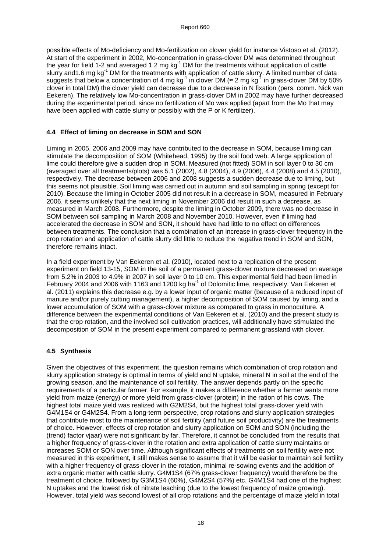possible effects of Mo-deficiency and Mo-fertilization on clover yield for instance Vistoso et al. (2012). At start of the experiment in 2002, Mo-concentration in grass-clover DM was determined throughout the year for field 1-2 and averaged 1.2 mg kg<sup>-1</sup> DM for the treatments without application of cattle slurry and 1.6 mg kg<sup>-1</sup> DM for the treatments with application of cattle slurry. A limited number of data sidity and i.o my ky. Difficulties the contration of 4 mg kg<sup>-1</sup> in clover DM (≈ 2 mg kg<sup>-1</sup> in grass-clover DM by 50% clover in total DM) the clover yield can decrease due to a decrease in N fixation (pers. comm. Nick van Eekeren). The relatively low Mo-concentration in grass-clover DM in 2002 may have further decreased during the experimental period, since no fertilization of Mo was applied (apart from the Mo that may have been applied with cattle slurry or possibly with the P or K fertilizer).

#### **4.4 Effect of liming on decrease in SOM and SON**

Liming in 2005, 2006 and 2009 may have contributed to the decrease in SOM, because liming can stimulate the decomposition of SOM (Whitehead, 1995) by the soil food web. A large application of lime could therefore give a sudden drop in SOM. Measured (not fitted) SOM in soil layer 0 to 30 cm (averaged over all treatments/plots) was 5.1 (2002), 4.8 (2004), 4.9 (2006), 4.4 (2008) and 4.5 (2010), respectively. The decrease between 2006 and 2008 suggests a sudden decrease due to liming, but this seems not plausible. Soil liming was carried out in autumn and soil sampling in spring (except for 2010). Because the liming in October 2005 did not result in a decrease in SOM, measured in February 2006, it seems unlikely that the next liming in November 2006 did result in such a decrease, as measured in March 2008. Furthermore, despite the liming in October 2009, there was no decrease in SOM between soil sampling in March 2008 and November 2010. However, even if liming had accelerated the decrease in SOM and SON, it should have had little to no effect on differences between treatments. The conclusion that a combination of an increase in grass-clover frequency in the crop rotation and application of cattle slurry did little to reduce the negative trend in SOM and SON, therefore remains intact.

In a field experiment by Van Eekeren et al. (2010), located next to a replication of the present experiment on field 13-15, SOM in the soil of a permanent grass-clover mixture decreased on average from 5.2% in 2003 to 4.9% in 2007 in soil layer 0 to 10 cm. This experimental field had been limed in February 2004 and 2006 with 1163 and 1200 kg ha<sup>-1</sup> of Dolomitic lime, respectively. Van Eekeren et al. (2011) explains this decrease e.g. by a lower input of organic matter (because of a reduced input of manure and/or purely cutting management), a higher decomposition of SOM caused by liming, and a lower accumulation of SOM with a grass-clover mixture as compared to grass in monoculture. A difference between the experimental conditions of Van Eekeren et al. (2010) and the present study is that the crop rotation, and the involved soil cultivation practices, will additionally have stimulated the decomposition of SOM in the present experiment compared to permanent grassland with clover.

#### **4.5 Synthesis**

Given the objectives of this experiment, the question remains which combination of crop rotation and slurry application strategy is optimal in terms of yield and N uptake, mineral N in soil at the end of the growing season, and the maintenance of soil fertility. The answer depends partly on the specific requirements of a particular farmer. For example, it makes a difference whether a farmer wants more yield from maize (energy) or more yield from grass-clover (protein) in the ration of his cows. The highest total maize yield was realized with G2M2S4, but the highest total grass-clover yield with G4M1S4 or G4M2S4. From a long-term perspective, crop rotations and slurry application strategies that contribute most to the maintenance of soil fertility (and future soil productivity) are the treatments of choice. However, effects of crop rotation and slurry application on SOM and SON (including the (trend) factor vjaar) were not significant by far. Therefore, it cannot be concluded from the results that a higher frequency of grass-clover in the rotation and extra application of cattle slurry maintains or increases SOM or SON over time. Although significant effects of treatments on soil fertility were not measured in this experiment, it still makes sense to assume that it will be easier to maintain soil fertility with a higher frequency of grass-clover in the rotation, minimal re-sowing events and the addition of extra organic matter with cattle slurry. G4M1S4 (67% grass-clover frequency) would therefore be the treatment of choice, followed by G3M1S4 (60%), G4M2S4 (57%) etc. G4M1S4 had one of the highest N uptakes and the lowest risk of nitrate leaching (due to the lowest frequency of maize growing). However, total yield was second lowest of all crop rotations and the percentage of maize yield in total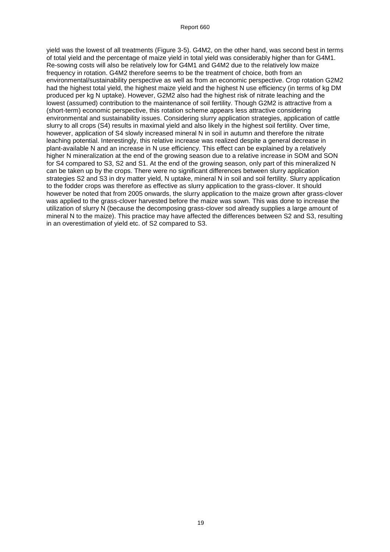yield was the lowest of all treatments (Figure 3-5). G4M2, on the other hand, was second best in terms of total yield and the percentage of maize yield in total yield was considerably higher than for G4M1. Re-sowing costs will also be relatively low for G4M1 and G4M2 due to the relatively low maize frequency in rotation. G4M2 therefore seems to be the treatment of choice, both from an environmental/sustainability perspective as well as from an economic perspective. Crop rotation G2M2 had the highest total yield, the highest maize yield and the highest N use efficiency (in terms of kg DM produced per kg N uptake). However, G2M2 also had the highest risk of nitrate leaching and the lowest (assumed) contribution to the maintenance of soil fertility. Though G2M2 is attractive from a (short-term) economic perspective, this rotation scheme appears less attractive considering environmental and sustainability issues. Considering slurry application strategies, application of cattle slurry to all crops (S4) results in maximal yield and also likely in the highest soil fertility. Over time, however, application of S4 slowly increased mineral N in soil in autumn and therefore the nitrate leaching potential. Interestingly, this relative increase was realized despite a general decrease in plant-available N and an increase in N use efficiency. This effect can be explained by a relatively higher N mineralization at the end of the growing season due to a relative increase in SOM and SON for S4 compared to S3, S2 and S1. At the end of the growing season, only part of this mineralized N can be taken up by the crops. There were no significant differences between slurry application strategies S2 and S3 in dry matter yield, N uptake, mineral N in soil and soil fertility. Slurry application to the fodder crops was therefore as effective as slurry application to the grass-clover. It should however be noted that from 2005 onwards, the slurry application to the maize grown after grass-clover was applied to the grass-clover harvested before the maize was sown. This was done to increase the utilization of slurry N (because the decomposing grass-clover sod already supplies a large amount of mineral N to the maize). This practice may have affected the differences between S2 and S3, resulting in an overestimation of yield etc. of S2 compared to S3.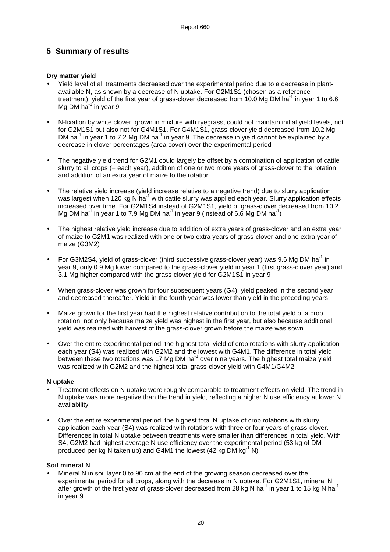# **5 Summary of results**

#### **Dry matter yield**

- Yield level of all treatments decreased over the experimental period due to a decrease in plantavailable N, as shown by a decrease of N uptake. For G2M1S1 (chosen as a reference treatment), yield of the first year of grass-clover decreased from 10.0 Mg DM ha<sup>-1</sup> in year 1 to 6.6 Mg DM ha $^{11}$ in year 9
- N-fixation by white clover, grown in mixture with ryegrass, could not maintain initial yield levels, not for G2M1S1 but also not for G4M1S1. For G4M1S1, grass-clover yield decreased from 10.2 Mg DM ha $^{-1}$  in year 1 to 7.2 Mg DM ha $^{-1}$  in year 9. The decrease in yield cannot be explained by a decrease in clover percentages (area cover) over the experimental period
- The negative yield trend for G2M1 could largely be offset by a combination of application of cattle slurry to all crops (= each year), addition of one or two more years of grass-clover to the rotation and addition of an extra year of maize to the rotation
- The relative yield increase (yield increase relative to a negative trend) due to slurry application was largest when 120 kg N ha<sup>-1</sup> with cattle slurry was applied each year. Slurry application effects increased over time. For G2M1S4 instead of G2M1S1, yield of grass-clover decreased from 10.2 Mg DM ha<sup>-1</sup> in year 1 to 7.9 Mg DM ha<sup>-1</sup> in year 9 (instead of 6.6 Mg DM ha<sup>-1</sup>)
- The highest relative yield increase due to addition of extra years of grass-clover and an extra year of maize to G2M1 was realized with one or two extra years of grass-clover and one extra year of maize (G3M2)
- For G3M2S4, yield of grass-clover (third successive grass-clover year) was 9.6 Mg DM ha<sup>-1</sup> in year 9, only 0.9 Mg lower compared to the grass-clover yield in year 1 (first grass-clover year) and 3.1 Mg higher compared with the grass-clover yield for G2M1S1 in year 9
- When grass-clover was grown for four subsequent years (G4), yield peaked in the second year and decreased thereafter. Yield in the fourth year was lower than yield in the preceding years
- Maize grown for the first year had the highest relative contribution to the total yield of a crop rotation, not only because maize yield was highest in the first year, but also because additional yield was realized with harvest of the grass-clover grown before the maize was sown
- Over the entire experimental period, the highest total yield of crop rotations with slurry application each year (S4) was realized with G2M2 and the lowest with G4M1. The difference in total yield between these two rotations was 17 Mg DM ha<sup>-1</sup> over nine years. The highest total maize yield was realized with G2M2 and the highest total grass-clover yield with G4M1/G4M2

#### **N uptake**

- Treatment effects on N uptake were roughly comparable to treatment effects on yield. The trend in N uptake was more negative than the trend in yield, reflecting a higher N use efficiency at lower N availability
- Over the entire experimental period, the highest total N uptake of crop rotations with slurry application each year (S4) was realized with rotations with three or four years of grass-clover. Differences in total N uptake between treatments were smaller than differences in total yield. With S4, G2M2 had highest average N use efficiency over the experimental period (53 kg of DM produced per kg N taken up) and G4M1 the lowest (42 kg DM kg<sup>-1</sup> N)

#### **Soil mineral N**

• Mineral N in soil layer 0 to 90 cm at the end of the growing season decreased over the experimental period for all crops, along with the decrease in N uptake. For G2M1S1, mineral N after growth of the first year of grass-clover decreased from 28 kg N ha<sup>-1</sup> in year 1 to 15 kg N ha<sup>-1</sup> in year 9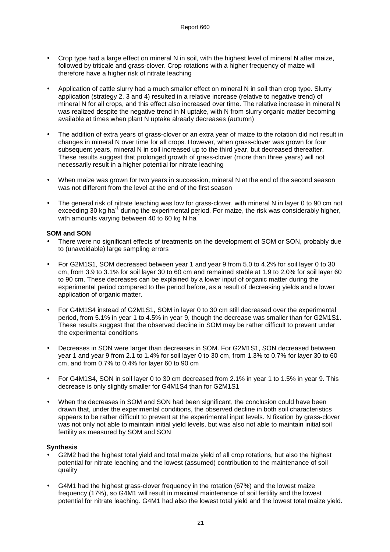- Crop type had a large effect on mineral N in soil, with the highest level of mineral N after maize, followed by triticale and grass-clover. Crop rotations with a higher frequency of maize will therefore have a higher risk of nitrate leaching
- Application of cattle slurry had a much smaller effect on mineral N in soil than crop type. Slurry application (strategy 2, 3 and 4) resulted in a relative increase (relative to negative trend) of mineral N for all crops, and this effect also increased over time. The relative increase in mineral N was realized despite the negative trend in N uptake, with N from slurry organic matter becoming available at times when plant N uptake already decreases (autumn)
- The addition of extra years of grass-clover or an extra year of maize to the rotation did not result in changes in mineral N over time for all crops. However, when grass-clover was grown for four subsequent years, mineral N in soil increased up to the third year, but decreased thereafter. These results suggest that prolonged growth of grass-clover (more than three years) will not necessarily result in a higher potential for nitrate leaching
- When maize was grown for two years in succession, mineral N at the end of the second season was not different from the level at the end of the first season
- The general risk of nitrate leaching was low for grass-clover, with mineral N in layer 0 to 90 cm not exceeding 30 kg ha<sup>-1</sup> during the experimental period. For maize, the risk was considerably higher, with amounts varying between 40 to 60 kg N ha<sup>-1</sup>

#### **SOM and SON**

- There were no significant effects of treatments on the development of SOM or SON, probably due to (unavoidable) large sampling errors
- For G2M1S1, SOM decreased between year 1 and year 9 from 5.0 to 4.2% for soil layer 0 to 30 cm, from 3.9 to 3.1% for soil layer 30 to 60 cm and remained stable at 1.9 to 2.0% for soil layer 60 to 90 cm. These decreases can be explained by a lower input of organic matter during the experimental period compared to the period before, as a result of decreasing yields and a lower application of organic matter.
- For G4M1S4 instead of G2M1S1, SOM in layer 0 to 30 cm still decreased over the experimental period, from 5.1% in year 1 to 4.5% in year 9, though the decrease was smaller than for G2M1S1. These results suggest that the observed decline in SOM may be rather difficult to prevent under the experimental conditions
- Decreases in SON were larger than decreases in SOM. For G2M1S1, SON decreased between year 1 and year 9 from 2.1 to 1.4% for soil layer 0 to 30 cm, from 1.3% to 0.7% for layer 30 to 60 cm, and from 0.7% to 0.4% for layer 60 to 90 cm
- For G4M1S4, SON in soil layer 0 to 30 cm decreased from 2.1% in year 1 to 1.5% in year 9. This decrease is only slightly smaller for G4M1S4 than for G2M1S1
- When the decreases in SOM and SON had been significant, the conclusion could have been drawn that, under the experimental conditions, the observed decline in both soil characteristics appears to be rather difficult to prevent at the experimental input levels. N fixation by grass-clover was not only not able to maintain initial yield levels, but was also not able to maintain initial soil fertility as measured by SOM and SON

#### **Synthesis**

- G2M2 had the highest total yield and total maize yield of all crop rotations, but also the highest potential for nitrate leaching and the lowest (assumed) contribution to the maintenance of soil quality
- G4M1 had the highest grass-clover frequency in the rotation (67%) and the lowest maize frequency (17%), so G4M1 will result in maximal maintenance of soil fertility and the lowest potential for nitrate leaching. G4M1 had also the lowest total yield and the lowest total maize yield.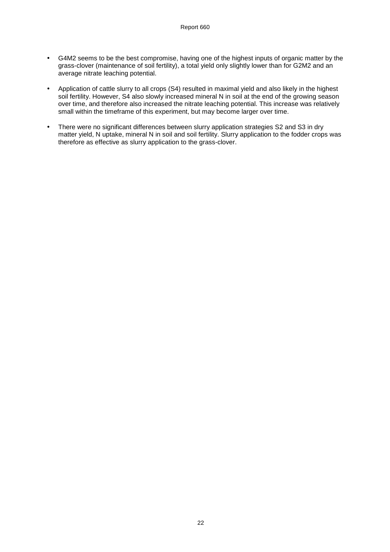- G4M2 seems to be the best compromise, having one of the highest inputs of organic matter by the grass-clover (maintenance of soil fertility), a total yield only slightly lower than for G2M2 and an average nitrate leaching potential.
- Application of cattle slurry to all crops (S4) resulted in maximal yield and also likely in the highest soil fertility. However, S4 also slowly increased mineral N in soil at the end of the growing season over time, and therefore also increased the nitrate leaching potential. This increase was relatively small within the timeframe of this experiment, but may become larger over time.
- There were no significant differences between slurry application strategies S2 and S3 in dry matter yield, N uptake, mineral N in soil and soil fertility. Slurry application to the fodder crops was therefore as effective as slurry application to the grass-clover.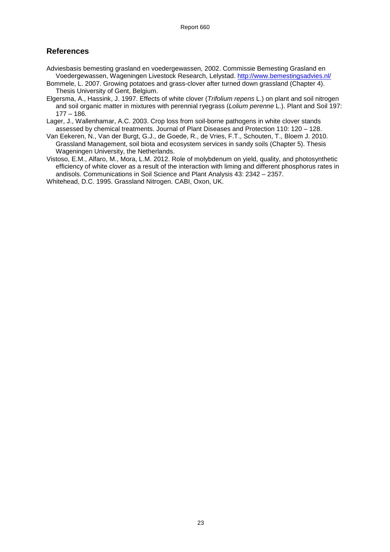# **References**

- Adviesbasis bemesting grasland en voedergewassen, 2002. Commissie Bemesting Grasland en Voedergewassen, Wageningen Livestock Research, Lelystad. http://www.bemestingsadvies.nl/
- Bommele, L. 2007. Growing potatoes and grass-clover after turned down grassland (Chapter 4). Thesis University of Gent, Belgium.
- Elgersma, A., Hassink, J. 1997. Effects of white clover (Trifolium repens L.) on plant and soil nitrogen and soil organic matter in mixtures with perennial ryegrass (Lolium perenne L.). Plant and Soil 197: 177 – 186.
- Lager, J., Wallenhamar, A.C. 2003. Crop loss from soil-borne pathogens in white clover stands assessed by chemical treatments. Journal of Plant Diseases and Protection 110: 120 – 128.
- Van Eekeren, N., Van der Burgt, G.J., de Goede, R., de Vries, F.T., Schouten, T., Bloem J. 2010. Grassland Management, soil biota and ecosystem services in sandy soils (Chapter 5). Thesis Wageningen University, the Netherlands.
- Vistoso, E.M., Alfaro, M., Mora, L.M. 2012. Role of molybdenum on yield, quality, and photosynthetic efficiency of white clover as a result of the interaction with liming and different phosphorus rates in andisols. Communications in Soil Science and Plant Analysis 43: 2342 – 2357.
- Whitehead, D.C. 1995. Grassland Nitrogen. CABI, Oxon, UK.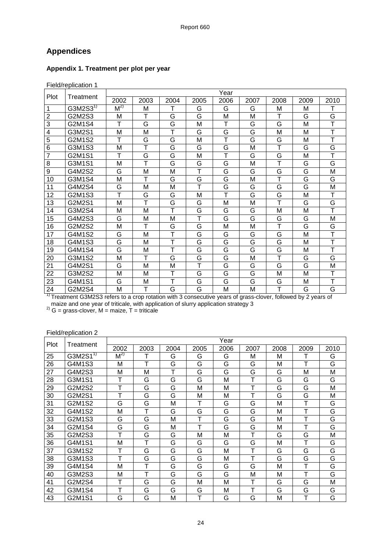# **Appendices**

#### **Appendix 1. Treatment per plot per year**

| Field/replication 1 |  |
|---------------------|--|

| Plot                    | Treatment             |          |      |      |                         | Year |      |      |      |                         |
|-------------------------|-----------------------|----------|------|------|-------------------------|------|------|------|------|-------------------------|
|                         |                       | 2002     | 2003 | 2004 | 2005                    | 2006 | 2007 | 2008 | 2009 | 2010                    |
| 1                       | G3M2S3 $\overline{1}$ | $M^{2)}$ | М    |      | G                       | G    | G    | М    | M    |                         |
| $\overline{2}$          | G2M2S3                | М        | T    | G    | G                       | M    | M    | T    | G    | G                       |
| $\overline{3}$          | G2M1S4                | т        | G    | G    | M                       | T    | G    | G    | M    | T                       |
| $\overline{\mathbf{4}}$ | G3M2S1                | M        | M    | T    | G                       | G    | G    | M    | M    | T                       |
| 5                       | G2M1S2                | T        | G    | G    | М                       | т    | G    | G    | M    | T                       |
| 6                       | G3M1S3                | М        | T    | G    | G                       | G    | M    | Ť    | G    | G                       |
| $\overline{7}$          | G2M1S1                | т        | G    | G    | M                       | т    | G    | G    | M    | T                       |
| 8                       | G3M1S1                | M        | T    | G    | G                       | G    | M    | T    | G    | G                       |
| $\overline{9}$          | G4M2S2                | G        | M    | M    | $\overline{\mathsf{T}}$ | G    | G    | Ġ    | G    | M                       |
| 10                      | G3M1S4                | M        | T    | G    | G                       | G    | M    | T    | G    | G                       |
| 11                      | G4M2S4                | G        | M    | M    | т                       | G    | G    | G    | G    | M                       |
| 12                      | G2M1S3                | T        | G    | G    | М                       | T    | G    | G    | M    | т                       |
| 13                      | G2M2S1                | M        | T    | G    | G                       | M    | M    | Ŧ    | G    | G                       |
| 14                      | G3M2S4                | M        | M    | т    | G                       | G    | G    | M    | M    | $\overline{\mathsf{T}}$ |
| 15                      | G4M2S3                | G        | М    | M    | т                       | G    | G    | G    | G    | M                       |
| 16                      | G2M2S2                | M        | T    | G    | G                       | M    | M    | T    | G    | G                       |
| 17                      | G4M1S2                | G        | M    | Τ    | G                       | G    | G    | G    | M    | T                       |
| 18                      | G4M1S3                | G        | M    | T    | G                       | G    | G    | G    | M    | Ŧ                       |
| 19                      | G4M1S4                | G        | М    | т    | G                       | G    | G    | G    | M    | T                       |
| 20                      | G3M1S2                | M        | т    | G    | G                       | G    | M    | Ŧ    | G    | G                       |
| 21                      | G4M2S1                | G        | M    | M    | $\overline{\mathsf{T}}$ | G    | G    | G    | G    | M                       |
| 22                      | G3M2S2                | М        | М    | т    | G                       | G    | G    | M    | M    | т                       |
| 23                      | G4M1S1                | G        | M    | Ŧ    | G                       | G    | G    | G    | M    | $\overline{\top}$       |
| 24                      | G2M2S4                | M        | т    | G    | G                       | M    | M    | т    | G    | G                       |

<sup>1)</sup> Treatment G3M2S3 refers to a crop rotation with 3 consecutive years of grass-clover, followed by 2 years of maize and one year of triticale, with application of slurry application strategy 3

<sup>2)</sup> G = grass-clover, M = maize,  $T$  = triticale

#### Field/replication 2

| Plot | Treatment                 |             |      |      |      | Year |      |      |      |      |
|------|---------------------------|-------------|------|------|------|------|------|------|------|------|
|      |                           |             | 2003 | 2004 | 2005 | 2006 | 2007 | 2008 | 2009 | 2010 |
| 25   | G3M2 $\overline{S1}^{17}$ | $M^{2}$     | T    | G    | G    | G    | м    | М    |      | G    |
| 26   | G4M1S3                    | M           | т    | G    | G    | G    | G    | М    | т    | G    |
| 27   | G4M2S3                    | M           | M    | т    | G    | G    | G    | G    | М    | M    |
| 28   | G3M1S1                    | т           | G    | G    | G    | M    | т    | G    | G    | G    |
| 29   | G2M2S2                    | т           | G    | G    | М    | M    | т    | G    | G    | M    |
| 30   | G2M2S1                    | т           | G    | G    | М    | M    | Т    | G    | G    | M    |
| 31   | G2M1S2                    | G           | G    | М    | т    | G    | G    | М    | т    | G    |
| 32   | G4M1S2                    | M           | т    | G    | G    | G    | G    | М    | т    | G    |
| 33   | G2M1S3                    | G           | G    | М    | т    | G    | G    | М    | т    | G    |
| 34   | G2M1S4                    | G           | G    | М    | т    | G    | G    | М    | т    | G    |
| 35   | G2M2S3                    | т           | G    | G    | M    | M    | т    | G    | G    | M    |
| 36   | G4M1S1                    | M           | т    | G    | G    | G    | G    | М    | т    | G    |
| 37   | G3M1S2                    | т           | G    | G    | G    | M    | т    | G    | G    | G    |
| 38   | G3M1S3                    | $\mathsf T$ | G    | G    | G    | M    | T    | G    | G    | G    |
| 39   | G4M1S4                    | M           | т    | G    | G    | G    | G    | М    | т    | G    |
| 40   | G3M2S3                    | M           | т    | G    | G    | G    | М    | М    | т    | G    |
| 41   | G2M2S4                    | т           | G    | G    | М    | M    | т    | G    | G    | M    |
| 42   | G3M1S4                    | т           | G    | G    | G    | M    | т    | G    | G    | G    |
| 43   | G2M1S1                    | G           | G    | М    | т    | G    | G    | М    | т    | G    |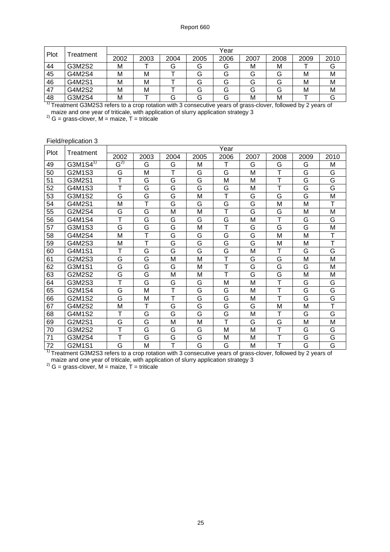| Plot | <sup>-</sup> reatment | Year |      |      |      |      |      |      |      |      |  |
|------|-----------------------|------|------|------|------|------|------|------|------|------|--|
|      |                       | 2002 | 2003 | 2004 | 2005 | 2006 | 2007 | 2008 | 2009 | 2010 |  |
| 44   | G3M2S2                | M    |      | G    | G    | u    | М    | М    |      | G    |  |
| 45   | G4M2S4                | M    | M    |      | G    | ت    | G    | G    | м    | М    |  |
| 46   | G4M2S1                | м    | M    |      | G    | ت    | G    | G    | М    | М    |  |
| 47   | G4M2S2                | м    | M    |      | G    | ت    | G    | G    | м    | М    |  |
| 48   | G3M2S4                | м    |      | G    | G    | ت    | М    | М    |      | G    |  |

<sup>1)</sup> Treatment G3M2S3 refers to a crop rotation with 3 consecutive years of grass-clover, followed by 2 years of maize and one year of triticale, with application of slurry application strategy 3

<sup>2)</sup> G = grass-clover, M = maize,  $T$  = triticale

#### Field/replication 3

| Plot | Treatment                 |                             |      |      |      | Year                    |      |      |      |                   |
|------|---------------------------|-----------------------------|------|------|------|-------------------------|------|------|------|-------------------|
|      |                           | 2002                        | 2003 | 2004 | 2005 | 2006                    | 2007 | 2008 | 2009 | 2010              |
| 49   | G3M1 $\overline{S4}^{17}$ | $\mathsf{G}^{\mathsf{2)} }$ | G    | G    | M    |                         | G    | G    | G    | M                 |
| 50   | G2M1S3                    | G                           | M    | т    | G    | G                       | M    | Т    | G    | G                 |
| 51   | G3M2S1                    | Τ                           | G    | G    | G    | M                       | M    | Ŧ    | G    | G                 |
| 52   | G4M1S3                    | T                           | G    | G    | G    | G                       | M    | Τ    | G    | G                 |
| 53   | G3M1S2                    | G                           | G    | G    | M    | T                       | G    | G    | G    | M                 |
| 54   | G4M2S1                    | M                           | т    | G    | G    | G                       | G    | M    | M    | т                 |
| 55   | G2M2S4                    | G                           | G    | M    | M    | T                       | G    | G    | M    | M                 |
| 56   | G4M1S4                    | Ŧ                           | G    | G    | G    | G                       | M    | Ŧ    | G    | G                 |
| 57   | G3M1S3                    | G                           | G    | G    | M    | T                       | G    | G    | G    | M                 |
| 58   | G4M2S4                    | M                           | T    | G    | G    | G                       | G    | М    | M    | T                 |
| 59   | G4M2S3                    | M                           | Ŧ    | G    | G    | G                       | G    | M    | М    | $\overline{\top}$ |
| 60   | G4M1S1                    | T                           | G    | G    | G    | G                       | M    | T    | G    | G                 |
| 61   | G2M2S3                    | G                           | G    | M    | M    | Т                       | G    | G    | M    | M                 |
| 62   | G3M1S1                    | G                           | G    | G    | M    | Т                       | G    | G    | G    | M                 |
| 63   | G2M2S2                    | G                           | G    | M    | M    | т                       | G    | G    | M    | M                 |
| 64   | G3M2S3                    | Ŧ                           | G    | G    | G    | M                       | M    | T    | G    | G                 |
| 65   | G2M1S4                    | G                           | M    | т    | G    | G                       | M    | т    | G    | G                 |
| 66   | G2M1S2                    | G                           | M    | т    | G    | G                       | M    | Ť    | G    | G                 |
| 67   | G4M2S2                    | M                           | т    | G    | G    | G                       | G    | M    | М    | т                 |
| 68   | G4M1S2                    | T                           | G    | G    | G    | G                       | M    | T    | G    | G                 |
| 69   | G2M2S1                    | G                           | G    | M    | M    | $\overline{\mathsf{T}}$ | G    | G    | M    | M                 |
| 70   | G3M2S2                    | Ŧ                           | G    | G    | G    | M                       | M    | Ŧ    | G    | G                 |
| 71   | G3M2S4                    | т                           | G    | G    | G    | М                       | M    | T    | G    | G                 |
| 72   | G2M1S1                    | G                           | M    | T    | G    | G                       | M    | T    | G    | G                 |

<sup>1)</sup> Treatment G3M2S3 refers to a crop rotation with 3 consecutive years of grass-clover, followed by 2 years of maize and one year of triticale, with application of slurry application strategy 3

<sup>2)</sup> G = grass-clover, M = maize, T = triticale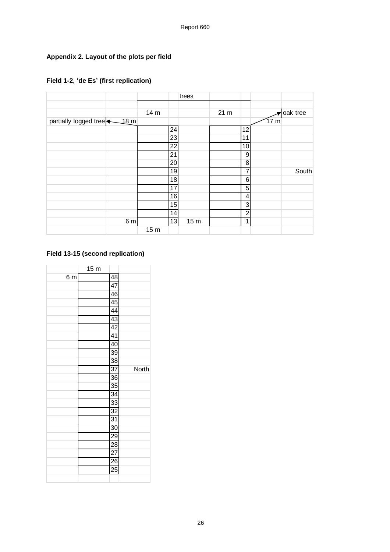# **Appendix 2. Layout of the plots per field**

|                                   |                |                 |                 | trees           |                |                 |          |
|-----------------------------------|----------------|-----------------|-----------------|-----------------|----------------|-----------------|----------|
|                                   |                |                 |                 |                 |                |                 |          |
|                                   |                | 14 m            |                 |                 | $21 \text{ m}$ |                 | oak tree |
| partially logged tree <u>18</u> m |                |                 |                 |                 |                |                 | 17 m     |
|                                   |                |                 | 24              |                 |                | 12              |          |
|                                   |                |                 | 23              |                 |                | 11              |          |
|                                   |                |                 | 22              |                 |                | 10              |          |
|                                   |                |                 | 21              |                 |                | 9               |          |
|                                   |                |                 | 20              |                 |                | 8 <sup>1</sup>  |          |
|                                   |                |                 | 19              |                 |                | 7               | South    |
|                                   |                |                 | 18              |                 |                | $6 \mid$        |          |
|                                   |                |                 | 17              |                 |                | 5 <sup>1</sup>  |          |
|                                   |                |                 | 16              |                 |                | $\vert 4 \vert$ |          |
|                                   |                |                 | $\overline{15}$ |                 |                | دى              |          |
|                                   |                |                 | 14              |                 |                | $\overline{2}$  |          |
|                                   | 6 <sub>m</sub> |                 | 13              | 15 <sub>m</sub> |                | $\mathbf{1}$    |          |
|                                   |                | 15 <sub>m</sub> |                 |                 |                |                 |          |

# **Field 1-2, 'de Es' (first replication)**

# **Field 13-15 (second replication)**

|                | 15 <sub>m</sub> |                 |       |
|----------------|-----------------|-----------------|-------|
| 6 <sub>m</sub> |                 | 48              |       |
|                |                 | 47              |       |
|                |                 | $\overline{46}$ |       |
|                |                 | $\overline{45}$ |       |
|                |                 | $\overline{44}$ |       |
|                |                 | $\overline{43}$ |       |
|                |                 | 42              |       |
|                |                 | $\overline{41}$ |       |
|                |                 | 40              |       |
|                |                 | $\overline{39}$ |       |
|                |                 | $\overline{38}$ |       |
|                |                 | $\overline{37}$ | North |
|                |                 | 36              |       |
|                |                 | $\overline{35}$ |       |
|                |                 | $\overline{34}$ |       |
|                |                 | $\overline{33}$ |       |
|                |                 | $\overline{32}$ |       |
|                |                 | $\overline{31}$ |       |
|                |                 | $\overline{30}$ |       |
|                |                 | 29              |       |
|                |                 | $\overline{28}$ |       |
|                |                 | $\overline{27}$ |       |
|                |                 | $\overline{26}$ |       |
|                |                 | $\overline{25}$ |       |
|                |                 |                 |       |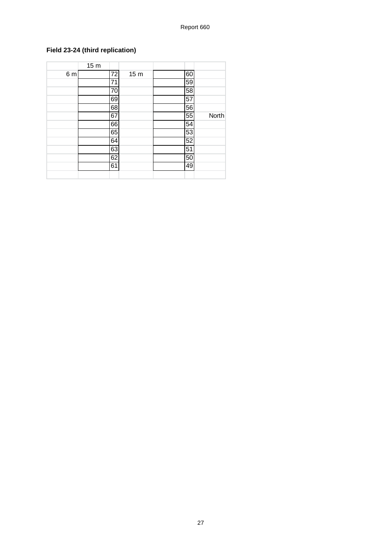# **Field 23-24 (third replication)**

|     | 15 <sub>m</sub> |                 |                 |    |       |
|-----|-----------------|-----------------|-----------------|----|-------|
| 6 m |                 | 72              | 15 <sub>m</sub> | 60 |       |
|     |                 | 71              |                 | 59 |       |
|     |                 | $\overline{70}$ |                 | 58 |       |
|     |                 | 69              |                 | 57 |       |
|     |                 | 68              |                 | 56 |       |
|     |                 | 67              |                 | 55 | North |
|     |                 | 66              |                 | 54 |       |
|     |                 | 65              |                 | 53 |       |
|     |                 | 64              |                 | 52 |       |
|     |                 | 63              |                 | 51 |       |
|     |                 | 62              |                 | 50 |       |
|     |                 | 61              |                 | 49 |       |
|     |                 |                 |                 |    |       |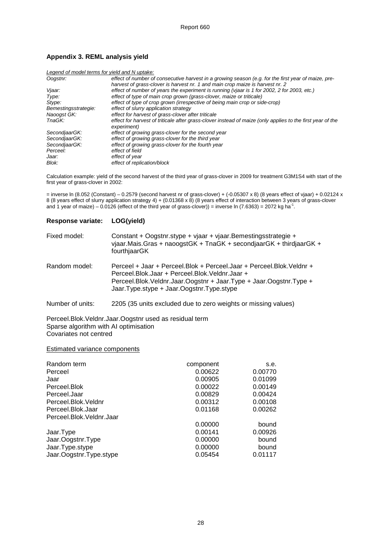#### **Appendix 3. REML analysis yield**

| Legend of model terms for yield and N uptake: |                                                                                                            |
|-----------------------------------------------|------------------------------------------------------------------------------------------------------------|
| Oogstnr:                                      | effect of number of consecutive harvest in a growing season (e.g. for the first year of maize, pre-        |
|                                               | harvest of grass-clover is harvest nr. 1 and main crop maize is harvest nr. 2                              |
| Vjaar:                                        | effect of number of years the experiment is running (vjaar is 1 for 2002, 2 for 2003, etc.)                |
| Type:                                         | effect of type of main crop grown (grass-clover, maize or triticale)                                       |
| Stype:                                        | effect of type of crop grown (irrespective of being main crop or side-crop)                                |
| Bemestingsstrategie:                          | effect of slurry application strategy                                                                      |
| Naoogst GK:                                   | effect for harvest of grass-clover after triticale                                                         |
| TnaGK:                                        | effect for harvest of triticale after grass-clover instead of maize (only applies to the first year of the |
|                                               | experiment)                                                                                                |
| SecondiaarGK:                                 | effect of growing grass-clover for the second year                                                         |
| SecondiaarGK:                                 | effect of growing grass-clover for the third year                                                          |
| SecondiaarGK:                                 | effect of growing grass-clover for the fourth year                                                         |
| Perceel:                                      | effect of field                                                                                            |
| Jaar:                                         | effect of year                                                                                             |
| Blok:                                         | effect of replication/block                                                                                |

Calculation example: yield of the second harvest of the third year of grass-clover in 2009 for treatment G3M1S4 with start of the first year of grass-clover in 2002:

= inverse ln (8.052 (Constant) – 0.2579 (second harvest nr of grass-clover) + (-0.05307 x 8) (8 years effect of vjaar) + 0.02124 x 8 (8 years effect of slurry application strategy 4) + (0.01368 x 8) (8 years effect of interaction between 3 years of grass-clover and 1 year of maize) – 0.0126 (effect of the third year of grass-clover)) = inverse ln (7.6363) = 2072 kg ha<sup>-1</sup>.

# **Response variate: LOG(yield)**  Fixed model: Constant + Oogstnr.stype + vjaar + vjaar.Bemestingsstrategie + vjaar.Mais.Gras + naoogstGK + TnaGK + secondjaarGK + thirdjaarGK + fourthjaarGK

| Random model: | Perceel + Jaar + Perceel. Blok + Perceel. Jaar + Perceel. Blok. Veldnr + |
|---------------|--------------------------------------------------------------------------|
|               | Perceel.Blok.Jaar + Perceel.Blok.Veldnr.Jaar +                           |
|               | Perceel.Blok.Veldnr.Jaar.Oogstnr + Jaar.Type + Jaar.Oogstnr.Type +       |
|               | Jaar.Type.stype + Jaar.Oogstnr.Type.stype                                |

Number of units: 2205 (35 units excluded due to zero weights or missing values)

Perceel.Blok.Veldnr.Jaar.Oogstnr used as residual term Sparse algorithm with AI optimisation Covariates not centred

#### Estimated variance components

| Random term              | component | S.e.    |
|--------------------------|-----------|---------|
| Perceel                  | 0.00622   | 0.00770 |
| Jaar                     | 0.00905   | 0.01099 |
| Perceel.Blok             | 0.00022   | 0.00149 |
| Perceel.Jaar             | 0.00829   | 0.00424 |
| Perceel.Blok.Veldnr      | 0.00312   | 0.00108 |
| Perceel.Blok.Jaar        | 0.01168   | 0.00262 |
| Perceel.Blok.Veldnr.Jaar |           |         |
|                          | 0.00000   | bound   |
| Jaar.Type                | 0.00141   | 0.00926 |
| Jaar.Oogstnr.Type        | 0.00000   | bound   |
| Jaar.Type.stype          | 0.00000   | bound   |
| Jaar.Oogstnr.Type.stype  | 0.05454   | 0.01117 |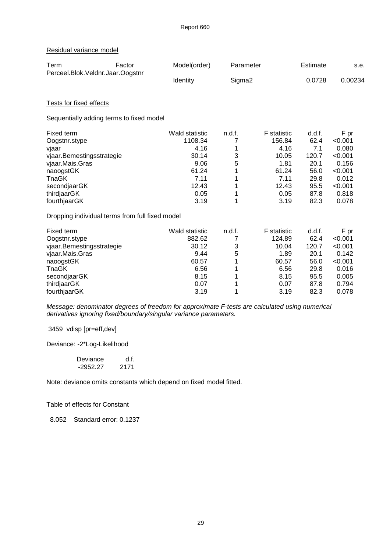#### Residual variance model

| Term                                                                                                                                                                                                         | Factor | Model(order)                                                                                        | Parameter                                 |                                                                                                 | Estimate                                                                       | s.e.                                                                                          |
|--------------------------------------------------------------------------------------------------------------------------------------------------------------------------------------------------------------|--------|-----------------------------------------------------------------------------------------------------|-------------------------------------------|-------------------------------------------------------------------------------------------------|--------------------------------------------------------------------------------|-----------------------------------------------------------------------------------------------|
| Perceel.Blok.Veldnr.Jaar.Oogstnr                                                                                                                                                                             |        | Identity                                                                                            | Sigma <sub>2</sub>                        |                                                                                                 | 0.0728                                                                         | 0.00234                                                                                       |
| <b>Tests for fixed effects</b>                                                                                                                                                                               |        |                                                                                                     |                                           |                                                                                                 |                                                                                |                                                                                               |
| Sequentially adding terms to fixed model                                                                                                                                                                     |        |                                                                                                     |                                           |                                                                                                 |                                                                                |                                                                                               |
| Fixed term<br>Oogstnr.stype<br>vjaar<br>vjaar.Bemestingsstrategie<br>vjaar.Mais.Gras<br>naoogstGK<br>TnaGK<br>secondjaarGK<br>thirdjaarGK<br>fourthjaarGK<br>Dropping individual terms from full fixed model |        | <b>Wald statistic</b><br>1108.34<br>4.16<br>30.14<br>9.06<br>61.24<br>7.11<br>12.43<br>0.05<br>3.19 | n.d.f.<br>7<br>1<br>3<br>5<br>1<br>1<br>1 | <b>F</b> statistic<br>156.84<br>4.16<br>10.05<br>1.81<br>61.24<br>7.11<br>12.43<br>0.05<br>3.19 | d.d.f.<br>62.4<br>7.1<br>120.7<br>20.1<br>56.0<br>29.8<br>95.5<br>87.8<br>82.3 | F pr<br>< 0.001<br>0.080<br>< 0.001<br>0.156<br>< 0.001<br>0.012<br>< 0.001<br>0.818<br>0.078 |
| Fixed term<br>Oogstnr.stype<br>vjaar.Bemestingsstrategie<br>vjaar.Mais.Gras<br>naoogstGK<br>TnaGK<br>secondjaarGK<br>thirdjaarGK<br>fourthjaarGK                                                             |        | <b>Wald statistic</b><br>882.62<br>30.12<br>9.44<br>60.57<br>6.56<br>8.15<br>0.07<br>3.19           | n.d.f.<br>7<br>3<br>5<br>1<br>1           | <b>F</b> statistic<br>124.89<br>10.04<br>1.89<br>60.57<br>6.56<br>8.15<br>0.07<br>3.19          | d.d.f.<br>62.4<br>120.7<br>20.1<br>56.0<br>29.8<br>95.5<br>87.8<br>82.3        | F pr<br>< 0.001<br>< 0.001<br>0.142<br>< 0.001<br>0.016<br>0.005<br>0.794<br>0.078            |

Message: denominator degrees of freedom for approximate F-tests are calculated using numerical derivatives ignoring fixed/boundary/singular variance parameters.

3459 vdisp [pr=eff,dev]

Deviance: -2\*Log-Likelihood

| Deviance   | d.f. |
|------------|------|
| $-2952.27$ | 2171 |

Note: deviance omits constants which depend on fixed model fitted.

#### Table of effects for Constant

8.052 Standard error: 0.1237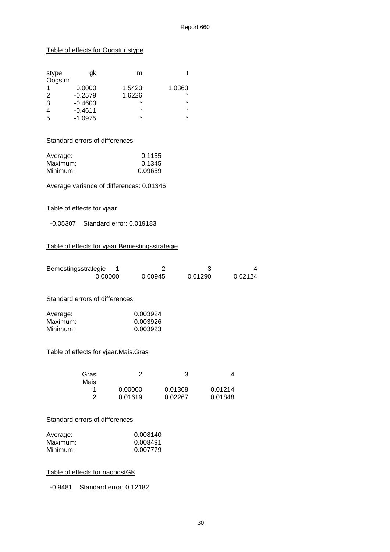#### Table of effects for Oogstnr.stype

| stype<br>Oogstnr | ak        | m       |         |
|------------------|-----------|---------|---------|
|                  | 0.0000    | 1.5423  | 1.0363  |
| 2                | $-0.2579$ | 1.6226  | $\star$ |
| 3                | $-0.4603$ | $\star$ | $\star$ |
| 4                | $-0.4611$ | $\star$ | $\star$ |
| 5                | $-1.0975$ | $\star$ | $\star$ |

Standard errors of differences

| Average: | 0.1155  |
|----------|---------|
| Maximum: | 0.1345  |
| Minimum: | 0.09659 |

Average variance of differences: 0.01346

#### Table of effects for vjaar

-0.05307 Standard error: 0.019183

#### Table of effects for vjaar.Bemestingsstrategie

| Bemestingsstrategie                                                      | 0.00000             |                                  | 2<br>0.00945       | 3<br>0.01290 | 4<br>0.02124            |
|--------------------------------------------------------------------------|---------------------|----------------------------------|--------------------|--------------|-------------------------|
| Standard errors of differences                                           |                     |                                  |                    |              |                         |
| Average:<br>Maximum:<br>Minimum:<br>Table of effects for vjaar.Mais.Gras |                     | 0.003924<br>0.003926<br>0.003923 |                    |              |                         |
| Gras<br>Mais                                                             | 1<br>$\overline{2}$ | 2<br>0.00000<br>0.01619          | 0.01368<br>0.02267 | 3            | 4<br>0.01214<br>0.01848 |

#### Standard errors of differences

| Average: | 0.008140 |
|----------|----------|
| Maximum: | 0.008491 |
| Minimum: | 0.007779 |

#### Table of effects for naoogstGK

-0.9481 Standard error: 0.12182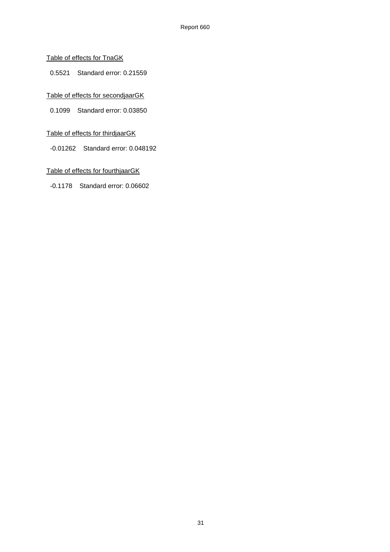#### Table of effects for TnaGK

0.5521 Standard error: 0.21559

#### Table of effects for secondjaarGK

0.1099 Standard error: 0.03850

#### Table of effects for thirdjaarGK

-0.01262 Standard error: 0.048192

#### Table of effects for fourthjaarGK

-0.1178 Standard error: 0.06602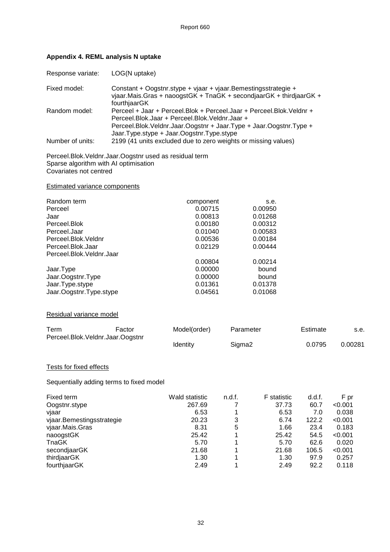| Response variate:                                                                                                                                | LOG(N uptake)                                                                                                                        |                                                                                                                                                                                                                  |                                                |                                                                                |                                                                         |                                                                                      |
|--------------------------------------------------------------------------------------------------------------------------------------------------|--------------------------------------------------------------------------------------------------------------------------------------|------------------------------------------------------------------------------------------------------------------------------------------------------------------------------------------------------------------|------------------------------------------------|--------------------------------------------------------------------------------|-------------------------------------------------------------------------|--------------------------------------------------------------------------------------|
| Fixed model:                                                                                                                                     | Constant + Oogstnr.stype + vjaar + vjaar.Bemestingsstrategie +<br>vjaar.Mais.Gras + naoogstGK + TnaGK + secondjaarGK + thirdjaarGK + |                                                                                                                                                                                                                  |                                                |                                                                                |                                                                         |                                                                                      |
| Random model:                                                                                                                                    |                                                                                                                                      | fourthjaarGK<br>Perceel + Jaar + Perceel. Blok + Perceel. Jaar + Perceel. Blok. Veldnr +<br>Perceel.Blok.Jaar + Perceel.Blok.Veldnr.Jaar +<br>Perceel.Blok.Veldnr.Jaar.Oogstnr + Jaar.Type + Jaar.Oogstnr.Type + |                                                |                                                                                |                                                                         |                                                                                      |
| Number of units:                                                                                                                                 | Jaar.Type.stype + Jaar.Oogstnr.Type.stype<br>2199 (41 units excluded due to zero weights or missing values)                          |                                                                                                                                                                                                                  |                                                |                                                                                |                                                                         |                                                                                      |
| Perceel.Blok.Veldnr.Jaar.Oogstnr used as residual term<br>Sparse algorithm with AI optimisation<br>Covariates not centred                        |                                                                                                                                      |                                                                                                                                                                                                                  |                                                |                                                                                |                                                                         |                                                                                      |
| <b>Estimated variance components</b>                                                                                                             |                                                                                                                                      |                                                                                                                                                                                                                  |                                                |                                                                                |                                                                         |                                                                                      |
| Random term<br>Perceel<br>Jaar<br>Perceel.Blok<br>Perceel.Jaar<br>Perceel.Blok.Veldnr<br>Perceel.Blok.Jaar<br>Perceel.Blok.Veldnr.Jaar           |                                                                                                                                      | component<br>0.00715<br>0.00813<br>0.00180<br>0.01040<br>0.00536<br>0.02129                                                                                                                                      |                                                | s.e.<br>0.00950<br>0.01268<br>0.00312<br>0.00583<br>0.00184<br>0.00444         |                                                                         |                                                                                      |
| Jaar.Type<br>Jaar.Oogstnr.Type<br>Jaar.Type.stype<br>Jaar.Oogstnr.Type.stype                                                                     |                                                                                                                                      | 0.00804<br>0.00000<br>0.00000<br>0.01361<br>0.04561                                                                                                                                                              |                                                | 0.00214<br>bound<br>bound<br>0.01378<br>0.01068                                |                                                                         |                                                                                      |
| Residual variance model                                                                                                                          |                                                                                                                                      |                                                                                                                                                                                                                  |                                                |                                                                                |                                                                         |                                                                                      |
| Term                                                                                                                                             | Factor                                                                                                                               | Model(order)                                                                                                                                                                                                     | Parameter                                      |                                                                                | Estimate                                                                | s.e.                                                                                 |
| Perceel.Blok.Veldnr.Jaar.Oogstnr                                                                                                                 |                                                                                                                                      | Identity                                                                                                                                                                                                         | Sigma <sub>2</sub>                             |                                                                                | 0.0795                                                                  | 0.00281                                                                              |
| Tests for fixed effects                                                                                                                          |                                                                                                                                      |                                                                                                                                                                                                                  |                                                |                                                                                |                                                                         |                                                                                      |
| Sequentially adding terms to fixed model                                                                                                         |                                                                                                                                      |                                                                                                                                                                                                                  |                                                |                                                                                |                                                                         |                                                                                      |
| Fixed term<br>Oogstnr.stype<br>vjaar<br>vjaar.Bemestingsstrategie<br>vjaar.Mais.Gras<br>naoogstGK<br><b>TnaGK</b><br>secondjaarGK<br>thirdjaarGK |                                                                                                                                      | Wald statistic<br>267.69<br>6.53<br>20.23<br>8.31<br>25.42<br>5.70<br>21.68<br>1.30                                                                                                                              | n.d.f.<br>7<br>1<br>3<br>5<br>1<br>1<br>1<br>1 | F statistic<br>37.73<br>6.53<br>6.74<br>1.66<br>25.42<br>5.70<br>21.68<br>1.30 | d.d.f.<br>60.7<br>7.0<br>122.2<br>23.4<br>54.5<br>62.6<br>106.5<br>97.9 | F pr<br>< 0.001<br>0.038<br>< 0.001<br>0.183<br>< 0.001<br>0.020<br>< 0.001<br>0.257 |

# **Appendix 4. REML analysis N uptake**

margaan China<br>fourthjaarGK

thirdjaarGK 1.30 1 1.30 97.9 0.257<br>
fourthjaarGK 2.49 1 2.49 92.2 0.118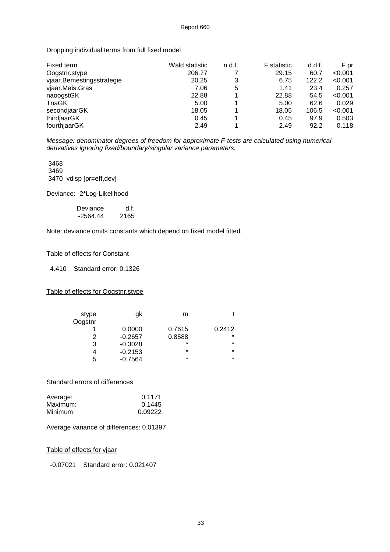Dropping individual terms from full fixed model

| Fixed term                | Wald statistic | n.d.f. | <b>F</b> statistic | d.d.f. | F pr    |
|---------------------------|----------------|--------|--------------------|--------|---------|
| Oogstnr.stype             | 206.77         |        | 29.15              | 60.7   | < 0.001 |
| vjaar.Bemestingsstrategie | 20.25          | 3      | 6.75               | 122.2  | < 0.001 |
| vjaar.Mais.Gras           | 7.06           | 5      | 1.41               | 23.4   | 0.257   |
| naoogstGK                 | 22.88          |        | 22.88              | 54.5   | < 0.001 |
| TnaGK                     | 5.00           |        | 5.00               | 62.6   | 0.029   |
| secondjaarGK              | 18.05          |        | 18.05              | 106.5  | < 0.001 |
| thirdjaarGK               | 0.45           |        | 0.45               | 97.9   | 0.503   |
| fourthjaarGK              | 2.49           |        | 2.49               | 92.2   | 0.118   |

Message: denominator degrees of freedom for approximate F-tests are calculated using numerical derivatives ignoring fixed/boundary/singular variance parameters.

 3468 3469 3470 vdisp [pr=eff,dev]

Deviance: -2\*Log-Likelihood

| Deviance   | d.f. |
|------------|------|
| $-2564.44$ | 2165 |

Note: deviance omits constants which depend on fixed model fitted.

#### Table of effects for Constant

4.410 Standard error: 0.1326

#### Table of effects for Oogstnr.stype

| stype   | gk        | m       |         |
|---------|-----------|---------|---------|
| Oogstnr |           |         |         |
|         | 0.0000    | 0.7615  | 0.2412  |
| 2       | $-0.2657$ | 0.8588  | $\star$ |
| 3       | $-0.3028$ | $\star$ | $\star$ |
| 4       | $-0.2153$ | $\star$ | $\star$ |
| 5       | $-0.7564$ | $\star$ | $\star$ |

Standard errors of differences

| Average: | 0.1171  |
|----------|---------|
| Maximum: | 0.1445  |
| Minimum: | 0.09222 |

Average variance of differences: 0.01397

#### Table of effects for vjaar

-0.07021 Standard error: 0.021407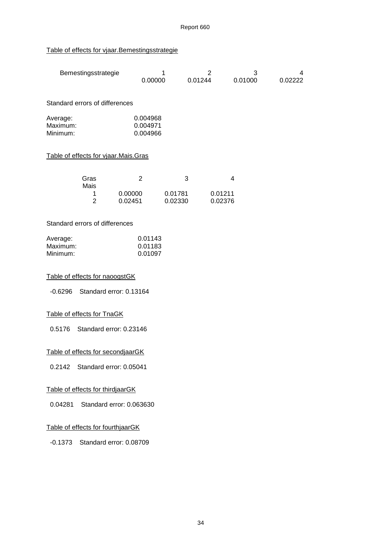#### Table of effects for vjaar.Bemestingsstrategie

| Bemestingsstrategie                    | 4<br>0.00000                     | $\overline{2}$<br>0.01244 | 3<br>0.01000 | 4<br>0.02222 |
|----------------------------------------|----------------------------------|---------------------------|--------------|--------------|
| Standard errors of differences         |                                  |                           |              |              |
| Average:<br>Maximum:<br>Minimum:       | 0.004968<br>0.004971<br>0.004966 |                           |              |              |
| Table of effects for vjaar. Mais. Gras |                                  |                           |              |              |
| Gras<br>Mais                           | 2                                | 3                         | 4            |              |

| Mais |         |         |         |
|------|---------|---------|---------|
|      | 0.00000 | 0.01781 | 0.01211 |
|      | 0.02451 | 0.02330 | 0.02376 |

#### Standard errors of differences

| Average: | 0.01143 |
|----------|---------|
| Maximum: | 0.01183 |
| Minimum: | 0.01097 |

#### Table of effects for naoogstGK

-0.6296 Standard error: 0.13164

#### Table of effects for TnaGK

0.5176 Standard error: 0.23146

#### Table of effects for secondjaarGK

0.2142 Standard error: 0.05041

#### Table of effects for thirdjaarGK

0.04281 Standard error: 0.063630

#### Table of effects for fourthjaarGK

-0.1373 Standard error: 0.08709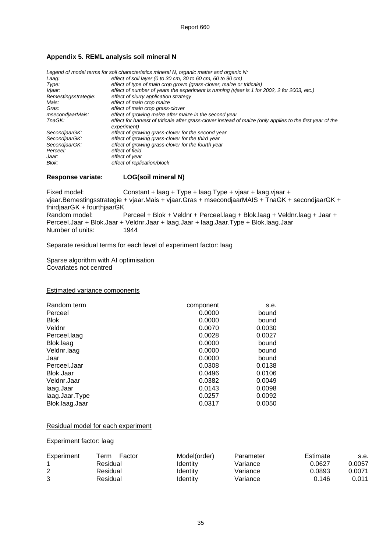#### **Appendix 5. REML analysis soil mineral N**

|                      | Legend of model terms for soil characteristics mineral N, organic matter and organic N:                    |
|----------------------|------------------------------------------------------------------------------------------------------------|
| Laag:                | effect of soil layer (0 to 30 cm, 30 to 60 cm, 60 to 90 cm)                                                |
| Type:                | effect of type of main crop grown (grass-clover, maize or triticale)                                       |
| Vjaar:               | effect of number of years the experiment is running (vjaar is 1 for 2002, 2 for 2003, etc.)                |
| Bemestingsstrategie: | effect of slurry application strategy                                                                      |
| Mais:                | effect of main crop maize                                                                                  |
| Gras:                | effect of main crop grass-clover                                                                           |
| msecondjaarMais:     | effect of growing maize after maize in the second year                                                     |
| TnaGK:               | effect for harvest of triticale after grass-clover instead of maize (only applies to the first year of the |
|                      | experiment)                                                                                                |
| SecondjaarGK:        | effect of growing grass-clover for the second year                                                         |
| SecondiaarGK:        | effect of growing grass-clover for the third year                                                          |
| SecondiaarGK:        | effect of growing grass-clover for the fourth year                                                         |
| Perceel:             | effect of field                                                                                            |
| Jaar:                | effect of year                                                                                             |
| Blok:                | effect of replication/block                                                                                |

#### **Response variate: LOG(soil mineral N)**

Fixed model: Constant + laag + Type + laag.Type + vjaar + laag.vjaar + vjaar.Bemestingsstrategie + vjaar.Mais + vjaar.Gras + msecondjaarMAIS + TnaGK + secondjaarGK + thirdjaarGK + fourthjaarGK Perceel + Blok + Veldnr + Perceel.laag + Blok.laag + Veldnr.laag + Jaar + Perceel.Jaar + Blok.Jaar + Veldnr.Jaar + laag.Jaar + laag.Jaar.Type + Blok.laag.Jaar Number of units:

Separate residual terms for each level of experiment factor: laag

Sparse algorithm with AI optimisation Covariates not centred

#### Estimated variance components

| Random term    | component | s.e.   |
|----------------|-----------|--------|
| Perceel        | 0.0000    | bound  |
| <b>Blok</b>    | 0.0000    | bound  |
| Veldnr         | 0.0070    | 0.0030 |
| Perceel.laag   | 0.0028    | 0.0027 |
| Blok.laag      | 0.0000    | bound  |
| Veldnr.laag    | 0.0000    | bound  |
| Jaar           | 0.0000    | bound  |
| Perceel.Jaar   | 0.0308    | 0.0138 |
| Blok.Jaar      | 0.0496    | 0.0106 |
| Veldnr.Jaar    | 0.0382    | 0.0049 |
| laag.Jaar      | 0.0143    | 0.0098 |
| laag.Jaar.Type | 0.0257    | 0.0092 |
| Blok.laag.Jaar | 0.0317    | 0.0050 |

#### Residual model for each experiment

Experiment factor: laag

| Experiment | Factor<br>Term | Model(order) | Parameter | Estimate | s.e.   |
|------------|----------------|--------------|-----------|----------|--------|
|            | Residual       | Identitv     | Variance  | 0.0627   | 0.0057 |
| 2          | Residual       | Identity     | Variance  | 0.0893   | 0.0071 |
| 3          | Residual       | Identity     | Variance  | 0.146    | 0.011  |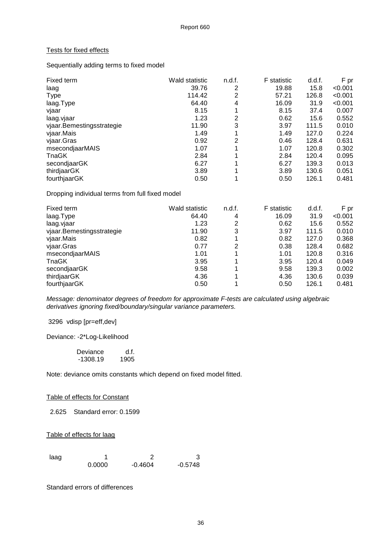#### Tests for fixed effects

Sequentially adding terms to fixed model

| Fixed term                | Wald statistic | n.d.f. | <b>F</b> statistic | d.d.f. | F pr    |
|---------------------------|----------------|--------|--------------------|--------|---------|
| laag                      | 39.76          | 2      | 19.88              | 15.8   | < 0.001 |
| <b>Type</b>               | 114.42         | 2      | 57.21              | 126.8  | < 0.001 |
| laag.Type                 | 64.40          | 4      | 16.09              | 31.9   | < 0.001 |
| vjaar                     | 8.15           |        | 8.15               | 37.4   | 0.007   |
| laag.vjaar                | 1.23           | 2      | 0.62               | 15.6   | 0.552   |
| vjaar.Bemestingsstrategie | 11.90          | 3      | 3.97               | 111.5  | 0.010   |
| vjaar.Mais                | 1.49           | 1      | 1.49               | 127.0  | 0.224   |
| vjaar.Gras                | 0.92           | 2      | 0.46               | 128.4  | 0.631   |
| msecondjaarMAIS           | 1.07           | 1      | 1.07               | 120.8  | 0.302   |
| <b>TnaGK</b>              | 2.84           | 4      | 2.84               | 120.4  | 0.095   |
| secondjaarGK              | 6.27           | 1      | 6.27               | 139.3  | 0.013   |
| thirdjaarGK               | 3.89           | 1      | 3.89               | 130.6  | 0.051   |
| fourthjaarGK              | 0.50           | 1      | 0.50               | 126.1  | 0.481   |

Dropping individual terms from full fixed model

| Fixed term                | Wald statistic | n.d.f. | <b>F</b> statistic | d.d.f. | F pr    |
|---------------------------|----------------|--------|--------------------|--------|---------|
| laag.Type                 | 64.40          | 4      | 16.09              | 31.9   | < 0.001 |
| laag.vjaar                | 1.23           | 2      | 0.62               | 15.6   | 0.552   |
| vjaar.Bemestingsstrategie | 11.90          | 3      | 3.97               | 111.5  | 0.010   |
| vjaar.Mais                | 0.82           |        | 0.82               | 127.0  | 0.368   |
| vjaar.Gras                | 0.77           | 2      | 0.38               | 128.4  | 0.682   |
| msecondjaarMAIS           | 1.01           |        | 1.01               | 120.8  | 0.316   |
| TnaGK                     | 3.95           |        | 3.95               | 120.4  | 0.049   |
| secondjaarGK              | 9.58           |        | 9.58               | 139.3  | 0.002   |
| thirdjaarGK               | 4.36           |        | 4.36               | 130.6  | 0.039   |
| fourthjaarGK              | 0.50           |        | 0.50               | 126.1  | 0.481   |

Message: denominator degrees of freedom for approximate F-tests are calculated using algebraic derivatives ignoring fixed/boundary/singular variance parameters.

3296 vdisp [pr=eff,dev]

Deviance: -2\*Log-Likelihood

| Deviance | d.f. |
|----------|------|
| -1308.19 | 1905 |

Note: deviance omits constants which depend on fixed model fitted.

#### Table of effects for Constant

2.625 Standard error: 0.1599

Table of effects for laag

| laag |        |           |           |
|------|--------|-----------|-----------|
|      | 0.0000 | $-0.4604$ | $-0.5748$ |

Standard errors of differences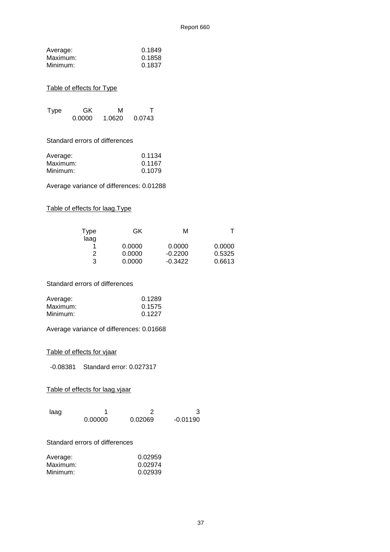| Average: | 0.1849 |
|----------|--------|
| Maximum: | 0.1858 |
| Minimum: | 0.1837 |

#### Table of effects for Type

| Type | GK.    | м      |        |
|------|--------|--------|--------|
|      | 0.0000 | 1.0620 | 0.0743 |

Standard errors of differences

| Average: | 0.1134 |
|----------|--------|
| Maximum: | 0.1167 |
| Minimum: | 0.1079 |

Average variance of differences: 0.01288

#### Table of effects for laag.Type

| Type<br>laag | GK     | М         |        |
|--------------|--------|-----------|--------|
|              | 0.0000 | 0.0000    | 0.0000 |
| 2            | 0.0000 | $-0.2200$ | 0.5325 |
| 3            | 0.0000 | $-0.3422$ | 0.6613 |

Standard errors of differences

| Average: | 0.1289 |
|----------|--------|
| Maximum: | 0.1575 |
| Minimum: | 0.1227 |

Average variance of differences: 0.01668

Table of effects for vjaar

-0.08381 Standard error: 0.027317

#### Table of effects for laag.vjaar

| laag |         |         |            |
|------|---------|---------|------------|
|      | 0.00000 | 0.02069 | $-0.01190$ |

#### Standard errors of differences

| Average: | 0.02959 |
|----------|---------|
| Maximum: | 0.02974 |
| Minimum: | 0.02939 |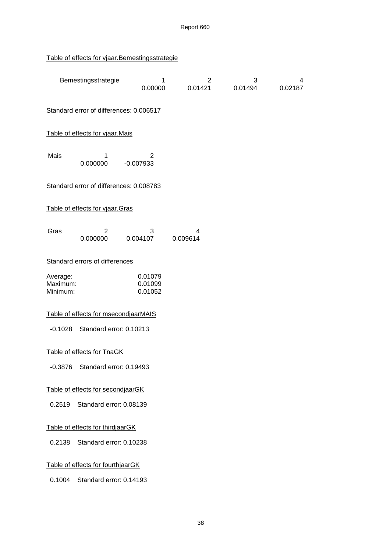# Table of effects for vjaar.Bemestingsstrategie

|                                   | Bemestingsstrategie                     | 1<br>0.00000                  | 2<br>0.01421  | 3<br>0.01494 | 4<br>0.02187 |  |
|-----------------------------------|-----------------------------------------|-------------------------------|---------------|--------------|--------------|--|
|                                   | Standard error of differences: 0.006517 |                               |               |              |              |  |
|                                   | Table of effects for vjaar.Mais         |                               |               |              |              |  |
| Mais                              | 1<br>0.000000                           | 2<br>$-0.007933$              |               |              |              |  |
|                                   | Standard error of differences: 0.008783 |                               |               |              |              |  |
|                                   | Table of effects for vjaar.Gras         |                               |               |              |              |  |
| Gras                              | 2<br>0.000000                           | 3<br>0.004107                 | 4<br>0.009614 |              |              |  |
|                                   | Standard errors of differences          |                               |               |              |              |  |
| Average:<br>Maximum:<br>Minimum:  |                                         | 0.01079<br>0.01099<br>0.01052 |               |              |              |  |
|                                   | Table of effects for msecondjaarMAIS    |                               |               |              |              |  |
| $-0.1028$                         | Standard error: 0.10213                 |                               |               |              |              |  |
|                                   | Table of effects for TnaGK              |                               |               |              |              |  |
| $-0.3876$                         | Standard error: 0.19493                 |                               |               |              |              |  |
|                                   | Table of effects for secondjaarGK       |                               |               |              |              |  |
| 0.2519                            | Standard error: 0.08139                 |                               |               |              |              |  |
| Table of effects for thirdjaarGK  |                                         |                               |               |              |              |  |
| Standard error: 0.10238<br>0.2138 |                                         |                               |               |              |              |  |
|                                   | Table of effects for fourthjaarGK       |                               |               |              |              |  |
| 0.1004                            | Standard error: 0.14193                 |                               |               |              |              |  |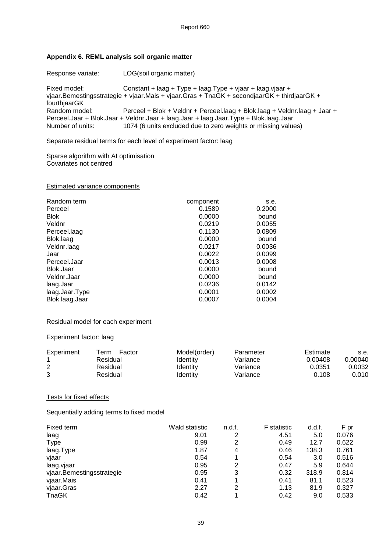#### **Appendix 6. REML analysis soil organic matter**

Response variate: LOG(soil organic matter) Fixed model: Constant + laag + Type + laag.Type + vjaar + laag.vjaar + vjaar.Bemestingsstrategie + vjaar.Mais + vjaar.Gras + TnaGK + secondjaarGK + thirdjaarGK + fourthjaarGK<br>Random model: Perceel + Blok + Veldnr + Perceel.laag + Blok.laag + Veldnr.laag + Jaar + Perceel.Jaar + Blok.Jaar + Veldnr.Jaar + laag.Jaar + laag.Jaar.Type + Blok.laag.Jaar 1074 (6 units excluded due to zero weights or missing values)

Separate residual terms for each level of experiment factor: laag

Sparse algorithm with AI optimisation Covariates not centred

#### Estimated variance components

| Random term    | component | s.e.   |
|----------------|-----------|--------|
| Perceel        | 0.1589    | 0.2000 |
| <b>Blok</b>    | 0.0000    | bound  |
| Veldnr         | 0.0219    | 0.0055 |
| Perceel.laag   | 0.1130    | 0.0809 |
| Blok.laag      | 0.0000    | bound  |
| Veldnr.laag    | 0.0217    | 0.0036 |
| Jaar           | 0.0022    | 0.0099 |
| Perceel.Jaar   | 0.0013    | 0.0008 |
| Blok.Jaar      | 0.0000    | bound  |
| Veldnr.Jaar    | 0.0000    | bound  |
| laag.Jaar      | 0.0236    | 0.0142 |
| laag.Jaar.Type | 0.0001    | 0.0002 |
| Blok.laag.Jaar | 0.0007    | 0.0004 |

#### Residual model for each experiment

#### Experiment factor: laag

| Experiment | Factor<br>™erm | Model(order)    | Parameter | Estimate | s.e.    |
|------------|----------------|-----------------|-----------|----------|---------|
|            | Residual       | Identity        | Variance  | 0.00408  | 0.00040 |
| 2          | Residual       | <b>Identity</b> | Variance  | 0.0351   | 0.0032  |
| 3          | Residual       | <b>Identity</b> | Variance  | 0.108    | 0.010   |

#### Tests for fixed effects

Sequentially adding terms to fixed model

| Fixed term                | Wald statistic | n.d.f. | <b>F</b> statistic | d.d.f. | F pr  |
|---------------------------|----------------|--------|--------------------|--------|-------|
| laag                      | 9.01           | 2      | 4.51               | 5.0    | 0.076 |
| <b>Type</b>               | 0.99           | 2      | 0.49               | 12.7   | 0.622 |
| laag.Type                 | 1.87           | 4      | 0.46               | 138.3  | 0.761 |
| vjaar                     | 0.54           |        | 0.54               | 3.0    | 0.516 |
| laag.vjaar                | 0.95           | 2      | 0.47               | 5.9    | 0.644 |
| vjaar.Bemestingsstrategie | 0.95           | 3      | 0.32               | 318.9  | 0.814 |
| vjaar.Mais                | 0.41           |        | 0.41               | 81.1   | 0.523 |
| vjaar.Gras                | 2.27           | 2      | 1.13               | 81.9   | 0.327 |
| <b>TnaGK</b>              | 0.42           |        | 0.42               | 9.0    | 0.533 |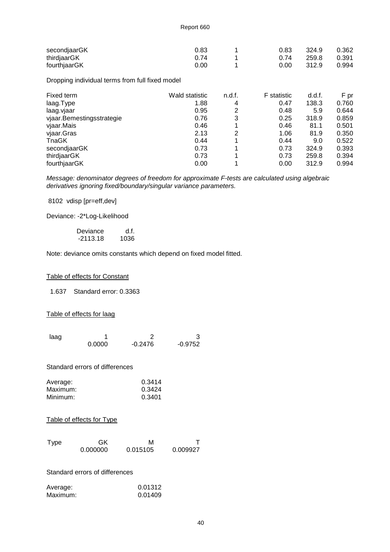| secondjaarGK | 0.83 | 0.83              | 324.9 | 0.362 |
|--------------|------|-------------------|-------|-------|
| thirdjaarGK  | 0.74 | በ 74              | 259.8 | 0.391 |
| fourthjaarGK | 0.00 | 0.00 <sub>1</sub> | 312.9 | 0.994 |

Dropping individual terms from full fixed model

| Fixed term                | Wald statistic | n.d.f. | <b>F</b> statistic | d.d.f. | F pr  |
|---------------------------|----------------|--------|--------------------|--------|-------|
| laag.Type                 | 1.88           | 4      | 0.47               | 138.3  | 0.760 |
| laag.vjaar                | 0.95           | 2      | 0.48               | 5.9    | 0.644 |
| vjaar.Bemestingsstrategie | 0.76           | 3      | 0.25               | 318.9  | 0.859 |
| vjaar.Mais                | 0.46           |        | 0.46               | 81.1   | 0.501 |
| vjaar.Gras                | 2.13           | 2      | 1.06               | 81.9   | 0.350 |
| TnaGK                     | 0.44           |        | 0.44               | 9.0    | 0.522 |
| secondjaarGK              | 0.73           |        | 0.73               | 324.9  | 0.393 |
| thirdjaarGK               | 0.73           |        | 0.73               | 259.8  | 0.394 |
| fourthjaarGK              | 0.00           |        | 0.00               | 312.9  | 0.994 |

Message: denominator degrees of freedom for approximate F-tests are calculated using algebraic derivatives ignoring fixed/boundary/singular variance parameters.

8102 vdisp [pr=eff,dev]

Deviance: -2\*Log-Likelihood

Deviance d.f.<br>-2113.18 1036  $-2113.18$ 

Note: deviance omits constants which depend on fixed model fitted.

#### Table of effects for Constant

1.637 Standard error: 0.3363

#### Table of effects for laag

| laag |        |           |           |
|------|--------|-----------|-----------|
|      | 0.0000 | $-0.2476$ | $-0.9752$ |

Standard errors of differences

| Average: | 0.3414 |
|----------|--------|
| Maximum: | 0.3424 |
| Minimum: | 0.3401 |

#### Table of effects for Type

| <b>Type</b> | GK       | М        |          |
|-------------|----------|----------|----------|
|             | 0.000000 | 0.015105 | 0.009927 |

Standard errors of differences

| Average: | 0.01312 |
|----------|---------|
| Maximum: | 0.01409 |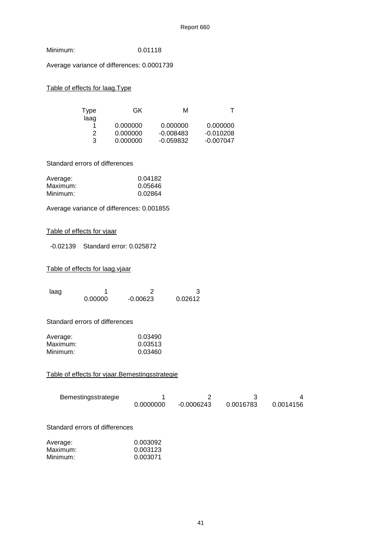| Minimum: | 0.01118 |
|----------|---------|
|----------|---------|

Average variance of differences: 0.0001739

#### Table of effects for laag.Type

| Type | GK       | м           |             |
|------|----------|-------------|-------------|
| laag | 0.000000 | 0.000000    | 0.000000    |
| 2    | 0.000000 | $-0.008483$ | $-0.010208$ |
| 3    | 0.000000 | -0.059832   | $-0.007047$ |

#### Standard errors of differences

| Average: | 0.04182 |
|----------|---------|
| Maximum: | 0.05646 |
| Minimum: | 0.02864 |

Average variance of differences: 0.001855

#### Table of effects for vjaar

-0.02139 Standard error: 0.025872

#### Table of effects for laag.vjaar

| laaq |         |            |         |
|------|---------|------------|---------|
|      | 0.00000 | $-0.00623$ | 0.02612 |

#### Standard errors of differences

| Average: | 0.03490 |
|----------|---------|
| Maximum: | 0.03513 |
| Minimum: | 0.03460 |

#### Table of effects for vjaar.Bemestingsstrategie

| Bemestingsstrategie |           |            |           |           |
|---------------------|-----------|------------|-----------|-----------|
|                     | 0.0000000 | -0.0006243 | 0.0016783 | 0.0014156 |

#### Standard errors of differences

| Average: | 0.003092 |
|----------|----------|
| Maximum: | 0.003123 |
| Minimum: | 0.003071 |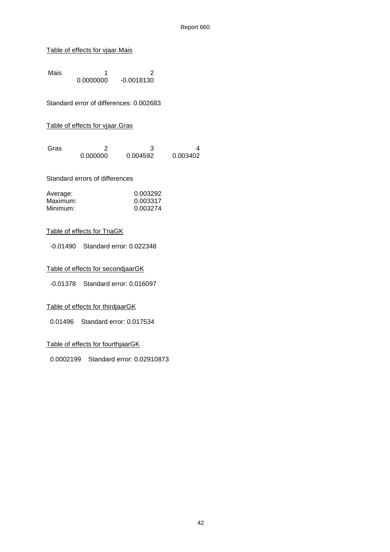#### Table of effects for vjaar.Mais

Mais 1<br>0.0000000 -0.0018130  $-0.0018130$ 

Standard error of differences: 0.002683

#### Table of effects for vjaar.Gras

| Gras |          |          |          |
|------|----------|----------|----------|
|      | 0.000000 | 0.004592 | 0.003402 |

#### Standard errors of differences

| Average: | 0.003292 |
|----------|----------|
| Maximum: | 0.003317 |
| Minimum: | 0.003274 |

#### Table of effects for TnaGK

-0.01490 Standard error: 0.022348

#### Table of effects for secondjaarGK

-0.01378 Standard error: 0.016097

#### Table of effects for thirdjaarGK

0.01496 Standard error: 0.017534

#### Table of effects for fourthjaarGK

0.0002199 Standard error: 0.02910873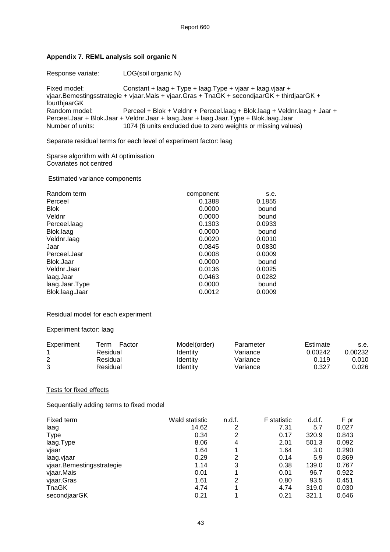#### **Appendix 7. REML analysis soil organic N**

Response variate: LOG(soil organic N)

Fixed model: Constant + laag + Type + laag.Type + vjaar + laag.vjaar + vjaar.Bemestingsstrategie + vjaar.Mais + vjaar.Gras + TnaGK + secondjaarGK + thirdjaarGK + fourthjaarGK<br>Random model: Perceel + Blok + Veldnr + Perceel.laag + Blok.laag + Veldnr.laag + Jaar + Perceel.Jaar + Blok.Jaar + Veldnr.Jaar + laag.Jaar + laag.Jaar.Type + Blok.laag.Jaar 1074 (6 units excluded due to zero weights or missing values)

Separate residual terms for each level of experiment factor: laag

Sparse algorithm with AI optimisation Covariates not centred

#### Estimated variance components

| Random term    | component | s.e.   |
|----------------|-----------|--------|
| Perceel        | 0.1388    | 0.1855 |
| <b>Blok</b>    | 0.0000    | bound  |
| Veldnr         | 0.0000    | bound  |
| Perceel.laag   | 0.1303    | 0.0933 |
| Blok.laag      | 0.0000    | bound  |
| Veldnr.laag    | 0.0020    | 0.0010 |
| Jaar           | 0.0845    | 0.0830 |
| Perceel.Jaar   | 0.0008    | 0.0009 |
| Blok.Jaar      | 0.0000    | bound  |
| Veldnr.Jaar    | 0.0136    | 0.0025 |
| laag.Jaar      | 0.0463    | 0.0282 |
| laag.Jaar.Type | 0.0000    | bound  |
| Blok.laag.Jaar | 0.0012    | 0.0009 |

#### Residual model for each experiment

#### Experiment factor: laag

| Experiment | Factor<br>Term | Model(order) | Parameter | Estimate | s.e.    |
|------------|----------------|--------------|-----------|----------|---------|
|            | Residual       | Identitv     | Variance  | 0.00242  | 0.00232 |
| 2          | Residual       | Identity     | Variance  | 0.119    | 0.010   |
| 3          | Residual       | Identitv     | Variance  | 0.327    | 0.026   |

#### Tests for fixed effects

Sequentially adding terms to fixed model

| Fixed term                | Wald statistic | n.d.f. | <b>F</b> statistic | d.d.f. | F pr  |
|---------------------------|----------------|--------|--------------------|--------|-------|
| laag                      | 14.62          | 2      | 7.31               | 5.7    | 0.027 |
| <b>Type</b>               | 0.34           | 2      | 0.17               | 320.9  | 0.843 |
| laag.Type                 | 8.06           | 4      | 2.01               | 501.3  | 0.092 |
| vjaar                     | 1.64           |        | 1.64               | 3.0    | 0.290 |
| laag.vjaar                | 0.29           | 2      | 0.14               | 5.9    | 0.869 |
| vjaar.Bemestingsstrategie | 1.14           | 3      | 0.38               | 139.0  | 0.767 |
| vjaar.Mais                | 0.01           | 1      | 0.01               | 96.7   | 0.922 |
| vjaar.Gras                | 1.61           | 2      | 0.80               | 93.5   | 0.451 |
| TnaGK                     | 4.74           |        | 4.74               | 319.0  | 0.030 |
| secondjaarGK              | 0.21           |        | 0.21               | 321.1  | 0.646 |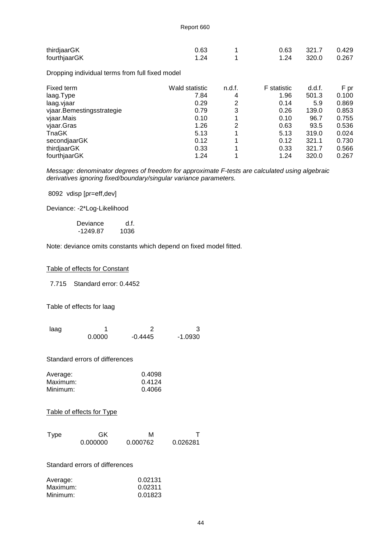| thirdjaarGK  | 0.63 |  | 0.63 321.7 0.429 |  |
|--------------|------|--|------------------|--|
| fourthjaarGK | 1.24 |  | 1.24 320.0 0.267 |  |

Dropping individual terms from full fixed model

| Fixed term                | Wald statistic | n.d.f. | <b>F</b> statistic | d.d.f. | F pr  |
|---------------------------|----------------|--------|--------------------|--------|-------|
| laag.Type                 | 7.84           | 4      | 1.96               | 501.3  | 0.100 |
| laag.vjaar                | 0.29           | 2      | 0.14               | 5.9    | 0.869 |
| vjaar.Bemestingsstrategie | 0.79           | 3      | 0.26               | 139.0  | 0.853 |
| vjaar.Mais                | 0.10           | 1      | 0.10               | 96.7   | 0.755 |
| vjaar.Gras                | 1.26           | 2      | 0.63               | 93.5   | 0.536 |
| <b>T</b> naGK             | 5.13           | 1      | 5.13               | 319.0  | 0.024 |
| secondjaarGK              | 0.12           |        | 0.12               | 321.1  | 0.730 |
| thirdjaarGK               | 0.33           |        | 0.33               | 321.7  | 0.566 |
| fourthjaarGK              | 1.24           |        | 1.24               | 320.0  | 0.267 |
|                           |                |        |                    |        |       |

Message: denominator degrees of freedom for approximate F-tests are calculated using algebraic derivatives ignoring fixed/boundary/singular variance parameters.

8092 vdisp [pr=eff,dev]

Deviance: -2\*Log-Likelihood

Deviance d.f.<br>-1249.87 1036  $-1249.87$ 

Note: deviance omits constants which depend on fixed model fitted.

#### Table of effects for Constant

7.715 Standard error: 0.4452

Table of effects for laag

| laag |        |           |           |
|------|--------|-----------|-----------|
|      | 0.0000 | $-0.4445$ | $-1.0930$ |

Standard errors of differences

| Average: | 0.4098 |
|----------|--------|
| Maximum: | 0.4124 |
| Minimum: | 0.4066 |

#### Table of effects for Type

| <b>Type</b> | GK       | М        |          |
|-------------|----------|----------|----------|
|             | 0.000000 | 0.000762 | 0.026281 |

Standard errors of differences

| Average: | 0.02131 |
|----------|---------|
| Maximum: | 0.02311 |
| Minimum: | 0.01823 |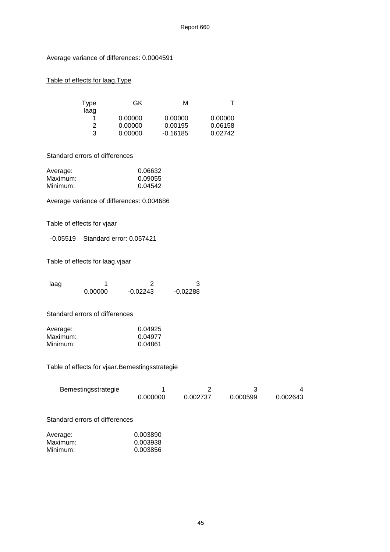Average variance of differences: 0.0004591

#### Table of effects for laag.Type

| Type<br>laag | GK      | м          |         |
|--------------|---------|------------|---------|
| 1            | 0.00000 | 0.00000    | 0.00000 |
| 2            | 0.00000 | 0.00195    | 0.06158 |
| 3            | 0.00000 | $-0.16185$ | 0.02742 |

#### Standard errors of differences

| Average: | 0.06632 |
|----------|---------|
| Maximum: | 0.09055 |
| Minimum: | 0.04542 |

Average variance of differences: 0.004686

#### Table of effects for vjaar

-0.05519 Standard error: 0.057421

Table of effects for laag.vjaar

| laaq |         |            |            |
|------|---------|------------|------------|
|      | 0.00000 | $-0.02243$ | $-0.02288$ |

#### Standard errors of differences

| Average: | 0.04925 |
|----------|---------|
| Maximum: | 0.04977 |
| Minimum: | 0.04861 |

#### Table of effects for vjaar.Bemestingsstrategie

| Bemestingsstrategie |          |          |          |          |
|---------------------|----------|----------|----------|----------|
|                     | 0.000000 | 0.002737 | 0.000599 | 0.002643 |

#### Standard errors of differences

| Average: | 0.003890 |
|----------|----------|
| Maximum: | 0.003938 |
| Minimum: | 0.003856 |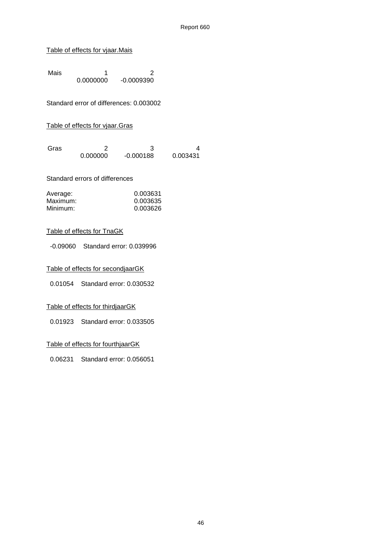#### Table of effects for vjaar.Mais

Mais 1<br>0.0000000 -0.0009390 0.0000000 -0.0009390

Standard error of differences: 0.003002

#### Table of effects for vjaar.Gras

| Gras |          |             |          |
|------|----------|-------------|----------|
|      | 0.000000 | $-0.000188$ | 0.003431 |

#### Standard errors of differences

| Average: | 0.003631 |
|----------|----------|
| Maximum: | 0.003635 |
| Minimum: | 0.003626 |

#### Table of effects for TnaGK

-0.09060 Standard error: 0.039996

Table of effects for secondjaarGK

0.01054 Standard error: 0.030532

#### Table of effects for thirdjaarGK

0.01923 Standard error: 0.033505

#### Table of effects for fourthjaarGK

0.06231 Standard error: 0.056051